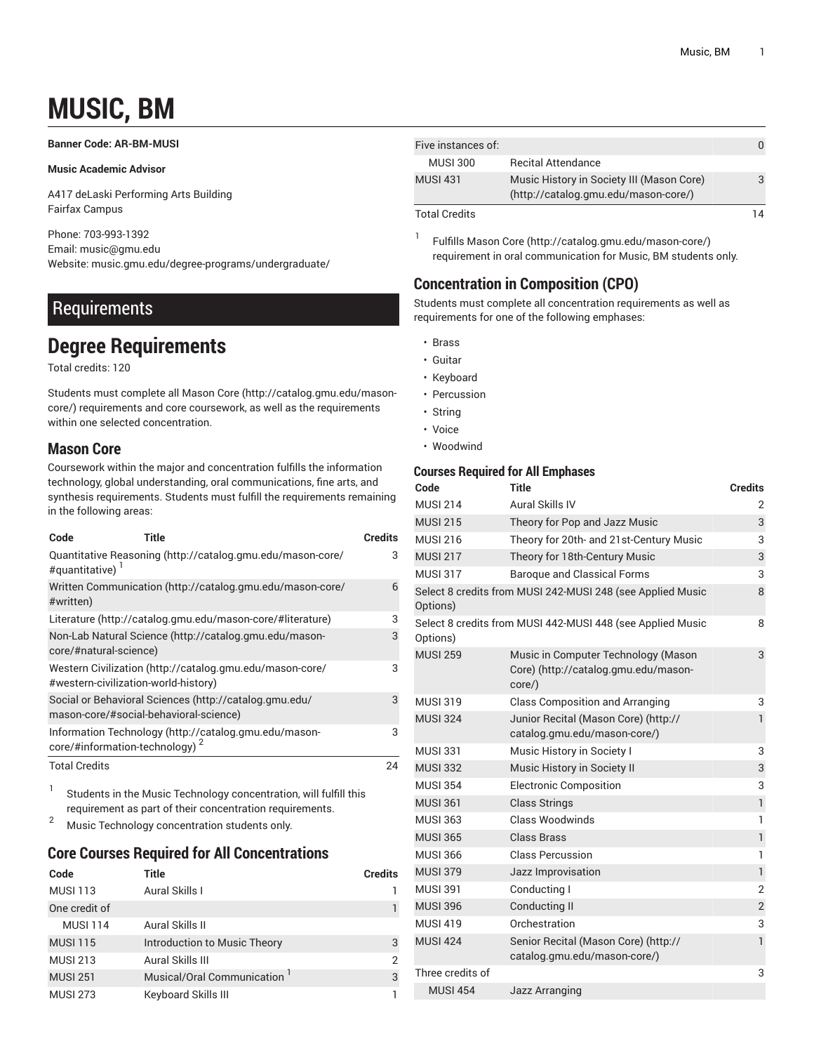# **MUSIC, BM**

### <span id="page-0-0"></span>**Banner Code: AR-BM-MUSI**

### **Music Academic Advisor**

A417 deLaski Performing Arts Building Fairfax Campus

Phone: 703-993-1392 Email: [music@gmu.edu](mailto:music@gmu.edu) Website: music.gmu.edu/degree-programs/undergraduate/

# **Requirements**

# **Degree Requirements**

Total credits: 120

Students must complete all [Mason](http://catalog.gmu.edu/mason-core/) Core ([http://catalog.gmu.edu/mason](http://catalog.gmu.edu/mason-core/)[core/\)](http://catalog.gmu.edu/mason-core/) requirements and core coursework, as well as the requirements within one selected concentration.

# **Mason Core**

Coursework within the major and concentration fulfills the information technology, global understanding, oral communications, fine arts, and synthesis requirements. Students must fulfill the requirements remaining in the following areas:

| Code                                       | Title                                                                                            | <b>Credits</b> |
|--------------------------------------------|--------------------------------------------------------------------------------------------------|----------------|
| #quantitative)                             | Quantitative Reasoning (http://catalog.gmu.edu/mason-core/                                       | 3              |
| #written)                                  | Written Communication (http://catalog.gmu.edu/mason-core/                                        | 6              |
|                                            | Literature (http://catalog.gmu.edu/mason-core/#literature)                                       | 3              |
| core/#natural-science)                     | Non-Lab Natural Science (http://catalog.gmu.edu/mason-                                           | 3              |
| #western-civilization-world-history)       | Western Civilization (http://catalog.gmu.edu/mason-core/                                         | 3              |
|                                            | Social or Behavioral Sciences (http://catalog.gmu.edu/<br>mason-core/#social-behavioral-science) | 3              |
| core/#information-technology) <sup>2</sup> | Information Technology (http://catalog.gmu.edu/mason-                                            | 3              |
| <b>Total Credits</b>                       |                                                                                                  | 24             |

1 Students in the Music Technology concentration, will fulfill this requirement as part of their concentration requirements.

<sup>2</sup> Music Technology concentration students only.

# **Core Courses Required for All Concentrations**

| Code            | Title                        | <b>Credits</b> |
|-----------------|------------------------------|----------------|
| <b>MUSI 113</b> | Aural Skills I               |                |
| One credit of   |                              |                |
| <b>MUSI 114</b> | Aural Skills II              |                |
| <b>MUSI 115</b> | Introduction to Music Theory | 3              |
| <b>MUSI 213</b> | Aural Skills III             | 2              |
| <b>MUSI 251</b> | Musical/Oral Communication ' | 3              |
| <b>MUSI 273</b> | Keyboard Skills III          |                |

| Five instances of:   |                                                                                   |  |
|----------------------|-----------------------------------------------------------------------------------|--|
| <b>MUSI 300</b>      | <b>Recital Attendance</b>                                                         |  |
| <b>MUSI 431</b>      | Music History in Society III (Mason Core)<br>(http://catalog.gmu.edu/mason-core/) |  |
| <b>Total Credits</b> |                                                                                   |  |

1 Fulfills [Mason](http://catalog.gmu.edu/mason-core/) Core [\(http://catalog.gmu.edu/mason-core/](http://catalog.gmu.edu/mason-core/)) requirement in oral communication for Music, BM students only.

# **Concentration in Composition (CPO)**

Students must complete all concentration requirements as well as requirements for one of the following emphases:

- Brass
- Guitar
- Keyboard
- Percussion
- String
- Voice
- Woodwind

### **Courses Required for All Emphases**

| Code             | Title                                                                                   | <b>Credits</b> |
|------------------|-----------------------------------------------------------------------------------------|----------------|
| <b>MUSI 214</b>  | Aural Skills IV                                                                         | 2              |
| <b>MUSI 215</b>  | Theory for Pop and Jazz Music                                                           | 3              |
| <b>MUSI 216</b>  | Theory for 20th- and 21st-Century Music                                                 | 3              |
| <b>MUSI 217</b>  | Theory for 18th-Century Music                                                           | 3              |
| <b>MUSI 317</b>  | <b>Baroque and Classical Forms</b>                                                      | 3              |
| Options)         | Select 8 credits from MUSI 242-MUSI 248 (see Applied Music                              | 8              |
| Options)         | Select 8 credits from MUSI 442-MUSI 448 (see Applied Music                              | 8              |
| <b>MUSI 259</b>  | Music in Computer Technology (Mason<br>Core) (http://catalog.gmu.edu/mason-<br>$core$ ) | 3              |
| <b>MUSI 319</b>  | <b>Class Composition and Arranging</b>                                                  | 3              |
| <b>MUSI 324</b>  | Junior Recital (Mason Core) (http://<br>catalog.gmu.edu/mason-core/)                    | $\mathbf{1}$   |
| <b>MUSI 331</b>  | Music History in Society I                                                              | 3              |
| <b>MUSI 332</b>  | Music History in Society II                                                             | 3              |
| <b>MUSI 354</b>  | <b>Electronic Composition</b>                                                           | 3              |
| <b>MUSI 361</b>  | <b>Class Strings</b>                                                                    | $\mathbf{1}$   |
| <b>MUSI 363</b>  | Class Woodwinds                                                                         | 1              |
| <b>MUSI 365</b>  | Class Brass                                                                             | $\mathbf{1}$   |
| <b>MUSI 366</b>  | <b>Class Percussion</b>                                                                 | $\mathbf{1}$   |
| <b>MUSI 379</b>  | Jazz Improvisation                                                                      | $\mathbf{1}$   |
| <b>MUSI 391</b>  | Conducting I                                                                            | $\overline{2}$ |
| <b>MUSI 396</b>  | Conducting II                                                                           | $\overline{2}$ |
| <b>MUSI 419</b>  | Orchestration                                                                           | 3              |
| <b>MUSI 424</b>  | Senior Recital (Mason Core) (http://<br>catalog.gmu.edu/mason-core/)                    | $\mathbf{1}$   |
| Three credits of |                                                                                         | 3              |
| <b>MUSI 454</b>  | Jazz Arranging                                                                          |                |
|                  |                                                                                         |                |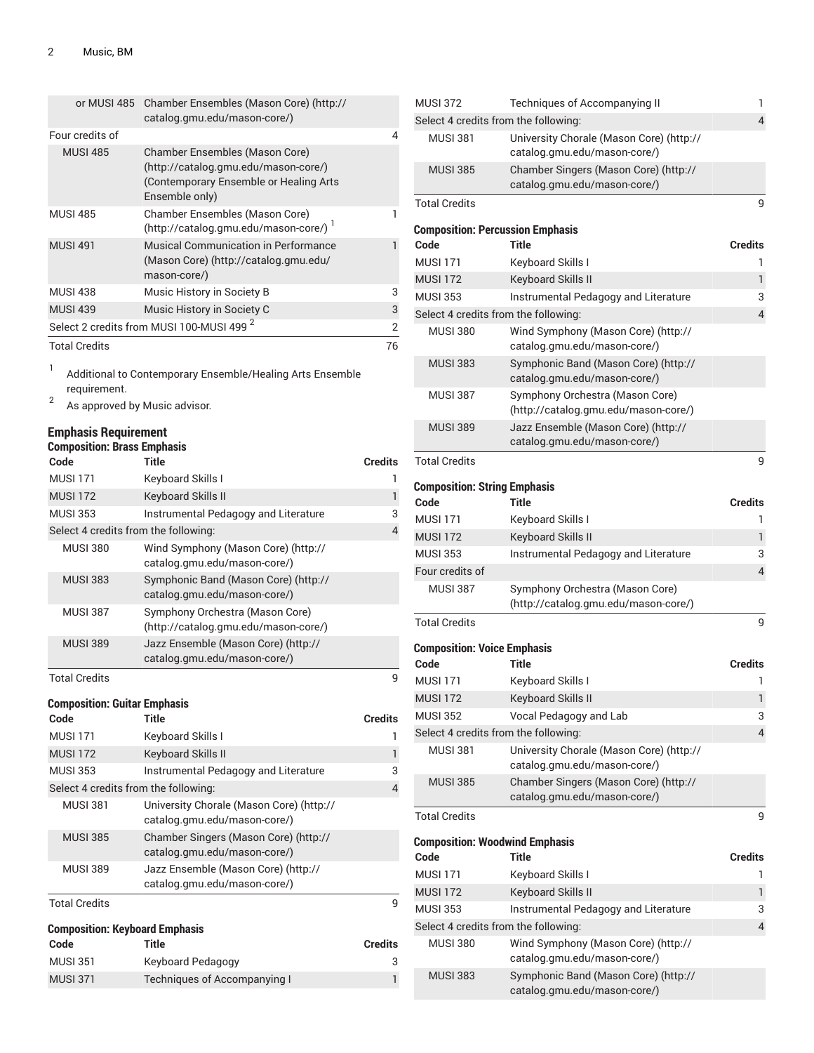|                      | or MUSI 485 Chamber Ensembles (Mason Core) (http://<br>catalog.gmu.edu/mason-core/)                                                        |    |
|----------------------|--------------------------------------------------------------------------------------------------------------------------------------------|----|
| Four credits of      |                                                                                                                                            | 4  |
| <b>MUSI 485</b>      | <b>Chamber Ensembles (Mason Core)</b><br>(http://catalog.gmu.edu/mason-core/)<br>(Contemporary Ensemble or Healing Arts)<br>Ensemble only) |    |
| <b>MUSI 485</b>      | Chamber Ensembles (Mason Core)<br>(http://catalog.gmu.edu/mason-core/)                                                                     |    |
| <b>MUSI 491</b>      | <b>Musical Communication in Performance</b><br>(Mason Core) (http://catalog.gmu.edu/<br>mason-core/)                                       |    |
| <b>MUSI 438</b>      | Music History in Society B                                                                                                                 | 3  |
| <b>MUSI 439</b>      | Music History in Society C                                                                                                                 | 3  |
|                      | Select 2 credits from MUSI 100-MUSI 499 <sup>2</sup>                                                                                       | 2  |
| <b>Total Credits</b> |                                                                                                                                            | 76 |

1 Additional to Contemporary Ensemble/Healing Arts Ensemble requirement.

2 As approved by Music advisor.

### **Emphasis Requirement**

| <b>Composition: Brass Emphasis</b> |  |  |
|------------------------------------|--|--|
|                                    |  |  |

| Code                                          | Title                                                                    | <b>Credits</b> |
|-----------------------------------------------|--------------------------------------------------------------------------|----------------|
| <b>MUSI 171</b>                               | Keyboard Skills I                                                        | ı              |
| <b>MUSI 172</b>                               | <b>Keyboard Skills II</b>                                                | $\mathbf{1}$   |
| <b>MUSI 353</b>                               | Instrumental Pedagogy and Literature                                     | 3              |
| Select 4 credits from the following:          |                                                                          | $\overline{4}$ |
| <b>MUSI 380</b>                               | Wind Symphony (Mason Core) (http://<br>catalog.gmu.edu/mason-core/)      |                |
| <b>MUSI 383</b>                               | Symphonic Band (Mason Core) (http://<br>catalog.gmu.edu/mason-core/)     |                |
| <b>MUSI 387</b>                               | Symphony Orchestra (Mason Core)<br>(http://catalog.gmu.edu/mason-core/)  |                |
| <b>MUSI 389</b>                               | Jazz Ensemble (Mason Core) (http://<br>catalog.gmu.edu/mason-core/)      |                |
| <b>Total Credits</b>                          |                                                                          | 9              |
| <b>Composition: Guitar Emphasis</b>           |                                                                          |                |
|                                               |                                                                          |                |
| Code                                          | <b>Title</b>                                                             | <b>Credits</b> |
| <b>MUSI 171</b>                               | Keyboard Skills I                                                        | ı              |
| <b>MUSI 172</b>                               | <b>Keyboard Skills II</b>                                                | $\mathbf{1}$   |
| <b>MUSI 353</b>                               | Instrumental Pedagogy and Literature                                     | 3              |
| Select 4 credits from the following:          |                                                                          | 4              |
| <b>MUSI 381</b>                               | University Chorale (Mason Core) (http://<br>catalog.gmu.edu/mason-core/) |                |
| <b>MUSI 385</b>                               | Chamber Singers (Mason Core) (http://<br>catalog.gmu.edu/mason-core/)    |                |
| <b>MUSI 389</b>                               | Jazz Ensemble (Mason Core) (http://<br>catalog.gmu.edu/mason-core/)      |                |
| <b>Total Credits</b>                          |                                                                          | 9              |
|                                               |                                                                          |                |
| <b>Composition: Keyboard Emphasis</b><br>Code | <b>Title</b>                                                             | Credits        |

MUSI 371 Techniques of Accompanying I 1

| Select 4 credits from the following:<br>4<br><b>MUSI 381</b><br>University Chorale (Mason Core) (http://<br>catalog.gmu.edu/mason-core/)<br><b>MUSI 385</b><br>Chamber Singers (Mason Core) (http://<br>catalog.gmu.edu/mason-core/)<br><b>Total Credits</b><br>9<br><b>Composition: Percussion Emphasis</b><br>Code<br>Title<br>Credits<br><b>MUSI 171</b><br>Keyboard Skills I<br>ı<br><b>MUSI 172</b><br>Keyboard Skills II<br>1<br><b>MUSI 353</b><br>Instrumental Pedagogy and Literature<br>3<br>4<br>Select 4 credits from the following:<br><b>MUSI 380</b><br>Wind Symphony (Mason Core) (http://<br>catalog.gmu.edu/mason-core/)<br>Symphonic Band (Mason Core) (http://<br><b>MUSI 383</b><br>catalog.gmu.edu/mason-core/)<br><b>MUSI 387</b><br>Symphony Orchestra (Mason Core)<br>(http://catalog.gmu.edu/mason-core/)<br><b>MUSI 389</b><br>Jazz Ensemble (Mason Core) (http://<br>catalog.gmu.edu/mason-core/)<br><b>Total Credits</b><br>9<br><b>Composition: String Emphasis</b><br>Code<br><b>Title</b><br><b>Credits</b><br><b>MUSI 171</b><br>Keyboard Skills I<br>1<br><b>MUSI 172</b><br>Keyboard Skills II<br>1<br><b>MUSI 353</b><br>Instrumental Pedagogy and Literature<br>3<br>$\overline{4}$<br>Four credits of<br><b>MUSI 387</b><br>Symphony Orchestra (Mason Core)<br>(http://catalog.gmu.edu/mason-core/)<br><b>Total Credits</b><br>9<br><b>Composition: Voice Emphasis</b><br>Code<br>Title<br>Credits<br><b>MUSI 171</b><br>Keyboard Skills I<br>1<br>$\mathbf{1}$<br>Keyboard Skills II<br><b>MUSI 172</b><br><b>MUSI 352</b><br>Vocal Pedagogy and Lab<br>3<br>4<br>Select 4 credits from the following:<br><b>MUSI 381</b><br>University Chorale (Mason Core) (http://<br>catalog.gmu.edu/mason-core/)<br><b>MUSI 385</b><br>Chamber Singers (Mason Core) (http://<br>catalog.gmu.edu/mason-core/)<br><b>Total Credits</b><br>9<br><b>Composition: Woodwind Emphasis</b><br><b>Title</b><br>Code<br>Credits<br><b>MUSI 171</b><br>Keyboard Skills I<br>ı<br><b>MUSI 172</b><br>Keyboard Skills II<br>1<br><b>MUSI 353</b><br>Instrumental Pedagogy and Literature<br>3<br>Select 4 credits from the following:<br>$\overline{4}$<br><b>MUSI 380</b><br>Wind Symphony (Mason Core) (http://<br>catalog.gmu.edu/mason-core/)<br><b>MUSI 383</b><br>Symphonic Band (Mason Core) (http://<br>catalog.gmu.edu/mason-core/) | <b>MUSI 372</b> | Techniques of Accompanying II | 1 |
|-------------------------------------------------------------------------------------------------------------------------------------------------------------------------------------------------------------------------------------------------------------------------------------------------------------------------------------------------------------------------------------------------------------------------------------------------------------------------------------------------------------------------------------------------------------------------------------------------------------------------------------------------------------------------------------------------------------------------------------------------------------------------------------------------------------------------------------------------------------------------------------------------------------------------------------------------------------------------------------------------------------------------------------------------------------------------------------------------------------------------------------------------------------------------------------------------------------------------------------------------------------------------------------------------------------------------------------------------------------------------------------------------------------------------------------------------------------------------------------------------------------------------------------------------------------------------------------------------------------------------------------------------------------------------------------------------------------------------------------------------------------------------------------------------------------------------------------------------------------------------------------------------------------------------------------------------------------------------------------------------------------------------------------------------------------------------------------------------------------------------------------------------------------------------------------------------------------------------------------------------------------------------------------------------------------------------------------------------------------|-----------------|-------------------------------|---|
|                                                                                                                                                                                                                                                                                                                                                                                                                                                                                                                                                                                                                                                                                                                                                                                                                                                                                                                                                                                                                                                                                                                                                                                                                                                                                                                                                                                                                                                                                                                                                                                                                                                                                                                                                                                                                                                                                                                                                                                                                                                                                                                                                                                                                                                                                                                                                             |                 |                               |   |
|                                                                                                                                                                                                                                                                                                                                                                                                                                                                                                                                                                                                                                                                                                                                                                                                                                                                                                                                                                                                                                                                                                                                                                                                                                                                                                                                                                                                                                                                                                                                                                                                                                                                                                                                                                                                                                                                                                                                                                                                                                                                                                                                                                                                                                                                                                                                                             |                 |                               |   |
|                                                                                                                                                                                                                                                                                                                                                                                                                                                                                                                                                                                                                                                                                                                                                                                                                                                                                                                                                                                                                                                                                                                                                                                                                                                                                                                                                                                                                                                                                                                                                                                                                                                                                                                                                                                                                                                                                                                                                                                                                                                                                                                                                                                                                                                                                                                                                             |                 |                               |   |
|                                                                                                                                                                                                                                                                                                                                                                                                                                                                                                                                                                                                                                                                                                                                                                                                                                                                                                                                                                                                                                                                                                                                                                                                                                                                                                                                                                                                                                                                                                                                                                                                                                                                                                                                                                                                                                                                                                                                                                                                                                                                                                                                                                                                                                                                                                                                                             |                 |                               |   |
|                                                                                                                                                                                                                                                                                                                                                                                                                                                                                                                                                                                                                                                                                                                                                                                                                                                                                                                                                                                                                                                                                                                                                                                                                                                                                                                                                                                                                                                                                                                                                                                                                                                                                                                                                                                                                                                                                                                                                                                                                                                                                                                                                                                                                                                                                                                                                             |                 |                               |   |
|                                                                                                                                                                                                                                                                                                                                                                                                                                                                                                                                                                                                                                                                                                                                                                                                                                                                                                                                                                                                                                                                                                                                                                                                                                                                                                                                                                                                                                                                                                                                                                                                                                                                                                                                                                                                                                                                                                                                                                                                                                                                                                                                                                                                                                                                                                                                                             |                 |                               |   |
|                                                                                                                                                                                                                                                                                                                                                                                                                                                                                                                                                                                                                                                                                                                                                                                                                                                                                                                                                                                                                                                                                                                                                                                                                                                                                                                                                                                                                                                                                                                                                                                                                                                                                                                                                                                                                                                                                                                                                                                                                                                                                                                                                                                                                                                                                                                                                             |                 |                               |   |
|                                                                                                                                                                                                                                                                                                                                                                                                                                                                                                                                                                                                                                                                                                                                                                                                                                                                                                                                                                                                                                                                                                                                                                                                                                                                                                                                                                                                                                                                                                                                                                                                                                                                                                                                                                                                                                                                                                                                                                                                                                                                                                                                                                                                                                                                                                                                                             |                 |                               |   |
|                                                                                                                                                                                                                                                                                                                                                                                                                                                                                                                                                                                                                                                                                                                                                                                                                                                                                                                                                                                                                                                                                                                                                                                                                                                                                                                                                                                                                                                                                                                                                                                                                                                                                                                                                                                                                                                                                                                                                                                                                                                                                                                                                                                                                                                                                                                                                             |                 |                               |   |
|                                                                                                                                                                                                                                                                                                                                                                                                                                                                                                                                                                                                                                                                                                                                                                                                                                                                                                                                                                                                                                                                                                                                                                                                                                                                                                                                                                                                                                                                                                                                                                                                                                                                                                                                                                                                                                                                                                                                                                                                                                                                                                                                                                                                                                                                                                                                                             |                 |                               |   |
|                                                                                                                                                                                                                                                                                                                                                                                                                                                                                                                                                                                                                                                                                                                                                                                                                                                                                                                                                                                                                                                                                                                                                                                                                                                                                                                                                                                                                                                                                                                                                                                                                                                                                                                                                                                                                                                                                                                                                                                                                                                                                                                                                                                                                                                                                                                                                             |                 |                               |   |
|                                                                                                                                                                                                                                                                                                                                                                                                                                                                                                                                                                                                                                                                                                                                                                                                                                                                                                                                                                                                                                                                                                                                                                                                                                                                                                                                                                                                                                                                                                                                                                                                                                                                                                                                                                                                                                                                                                                                                                                                                                                                                                                                                                                                                                                                                                                                                             |                 |                               |   |
|                                                                                                                                                                                                                                                                                                                                                                                                                                                                                                                                                                                                                                                                                                                                                                                                                                                                                                                                                                                                                                                                                                                                                                                                                                                                                                                                                                                                                                                                                                                                                                                                                                                                                                                                                                                                                                                                                                                                                                                                                                                                                                                                                                                                                                                                                                                                                             |                 |                               |   |
|                                                                                                                                                                                                                                                                                                                                                                                                                                                                                                                                                                                                                                                                                                                                                                                                                                                                                                                                                                                                                                                                                                                                                                                                                                                                                                                                                                                                                                                                                                                                                                                                                                                                                                                                                                                                                                                                                                                                                                                                                                                                                                                                                                                                                                                                                                                                                             |                 |                               |   |
|                                                                                                                                                                                                                                                                                                                                                                                                                                                                                                                                                                                                                                                                                                                                                                                                                                                                                                                                                                                                                                                                                                                                                                                                                                                                                                                                                                                                                                                                                                                                                                                                                                                                                                                                                                                                                                                                                                                                                                                                                                                                                                                                                                                                                                                                                                                                                             |                 |                               |   |
|                                                                                                                                                                                                                                                                                                                                                                                                                                                                                                                                                                                                                                                                                                                                                                                                                                                                                                                                                                                                                                                                                                                                                                                                                                                                                                                                                                                                                                                                                                                                                                                                                                                                                                                                                                                                                                                                                                                                                                                                                                                                                                                                                                                                                                                                                                                                                             |                 |                               |   |
|                                                                                                                                                                                                                                                                                                                                                                                                                                                                                                                                                                                                                                                                                                                                                                                                                                                                                                                                                                                                                                                                                                                                                                                                                                                                                                                                                                                                                                                                                                                                                                                                                                                                                                                                                                                                                                                                                                                                                                                                                                                                                                                                                                                                                                                                                                                                                             |                 |                               |   |
|                                                                                                                                                                                                                                                                                                                                                                                                                                                                                                                                                                                                                                                                                                                                                                                                                                                                                                                                                                                                                                                                                                                                                                                                                                                                                                                                                                                                                                                                                                                                                                                                                                                                                                                                                                                                                                                                                                                                                                                                                                                                                                                                                                                                                                                                                                                                                             |                 |                               |   |
|                                                                                                                                                                                                                                                                                                                                                                                                                                                                                                                                                                                                                                                                                                                                                                                                                                                                                                                                                                                                                                                                                                                                                                                                                                                                                                                                                                                                                                                                                                                                                                                                                                                                                                                                                                                                                                                                                                                                                                                                                                                                                                                                                                                                                                                                                                                                                             |                 |                               |   |
|                                                                                                                                                                                                                                                                                                                                                                                                                                                                                                                                                                                                                                                                                                                                                                                                                                                                                                                                                                                                                                                                                                                                                                                                                                                                                                                                                                                                                                                                                                                                                                                                                                                                                                                                                                                                                                                                                                                                                                                                                                                                                                                                                                                                                                                                                                                                                             |                 |                               |   |
|                                                                                                                                                                                                                                                                                                                                                                                                                                                                                                                                                                                                                                                                                                                                                                                                                                                                                                                                                                                                                                                                                                                                                                                                                                                                                                                                                                                                                                                                                                                                                                                                                                                                                                                                                                                                                                                                                                                                                                                                                                                                                                                                                                                                                                                                                                                                                             |                 |                               |   |
|                                                                                                                                                                                                                                                                                                                                                                                                                                                                                                                                                                                                                                                                                                                                                                                                                                                                                                                                                                                                                                                                                                                                                                                                                                                                                                                                                                                                                                                                                                                                                                                                                                                                                                                                                                                                                                                                                                                                                                                                                                                                                                                                                                                                                                                                                                                                                             |                 |                               |   |
|                                                                                                                                                                                                                                                                                                                                                                                                                                                                                                                                                                                                                                                                                                                                                                                                                                                                                                                                                                                                                                                                                                                                                                                                                                                                                                                                                                                                                                                                                                                                                                                                                                                                                                                                                                                                                                                                                                                                                                                                                                                                                                                                                                                                                                                                                                                                                             |                 |                               |   |
|                                                                                                                                                                                                                                                                                                                                                                                                                                                                                                                                                                                                                                                                                                                                                                                                                                                                                                                                                                                                                                                                                                                                                                                                                                                                                                                                                                                                                                                                                                                                                                                                                                                                                                                                                                                                                                                                                                                                                                                                                                                                                                                                                                                                                                                                                                                                                             |                 |                               |   |
|                                                                                                                                                                                                                                                                                                                                                                                                                                                                                                                                                                                                                                                                                                                                                                                                                                                                                                                                                                                                                                                                                                                                                                                                                                                                                                                                                                                                                                                                                                                                                                                                                                                                                                                                                                                                                                                                                                                                                                                                                                                                                                                                                                                                                                                                                                                                                             |                 |                               |   |
|                                                                                                                                                                                                                                                                                                                                                                                                                                                                                                                                                                                                                                                                                                                                                                                                                                                                                                                                                                                                                                                                                                                                                                                                                                                                                                                                                                                                                                                                                                                                                                                                                                                                                                                                                                                                                                                                                                                                                                                                                                                                                                                                                                                                                                                                                                                                                             |                 |                               |   |
|                                                                                                                                                                                                                                                                                                                                                                                                                                                                                                                                                                                                                                                                                                                                                                                                                                                                                                                                                                                                                                                                                                                                                                                                                                                                                                                                                                                                                                                                                                                                                                                                                                                                                                                                                                                                                                                                                                                                                                                                                                                                                                                                                                                                                                                                                                                                                             |                 |                               |   |
|                                                                                                                                                                                                                                                                                                                                                                                                                                                                                                                                                                                                                                                                                                                                                                                                                                                                                                                                                                                                                                                                                                                                                                                                                                                                                                                                                                                                                                                                                                                                                                                                                                                                                                                                                                                                                                                                                                                                                                                                                                                                                                                                                                                                                                                                                                                                                             |                 |                               |   |
|                                                                                                                                                                                                                                                                                                                                                                                                                                                                                                                                                                                                                                                                                                                                                                                                                                                                                                                                                                                                                                                                                                                                                                                                                                                                                                                                                                                                                                                                                                                                                                                                                                                                                                                                                                                                                                                                                                                                                                                                                                                                                                                                                                                                                                                                                                                                                             |                 |                               |   |
|                                                                                                                                                                                                                                                                                                                                                                                                                                                                                                                                                                                                                                                                                                                                                                                                                                                                                                                                                                                                                                                                                                                                                                                                                                                                                                                                                                                                                                                                                                                                                                                                                                                                                                                                                                                                                                                                                                                                                                                                                                                                                                                                                                                                                                                                                                                                                             |                 |                               |   |
|                                                                                                                                                                                                                                                                                                                                                                                                                                                                                                                                                                                                                                                                                                                                                                                                                                                                                                                                                                                                                                                                                                                                                                                                                                                                                                                                                                                                                                                                                                                                                                                                                                                                                                                                                                                                                                                                                                                                                                                                                                                                                                                                                                                                                                                                                                                                                             |                 |                               |   |
|                                                                                                                                                                                                                                                                                                                                                                                                                                                                                                                                                                                                                                                                                                                                                                                                                                                                                                                                                                                                                                                                                                                                                                                                                                                                                                                                                                                                                                                                                                                                                                                                                                                                                                                                                                                                                                                                                                                                                                                                                                                                                                                                                                                                                                                                                                                                                             |                 |                               |   |
|                                                                                                                                                                                                                                                                                                                                                                                                                                                                                                                                                                                                                                                                                                                                                                                                                                                                                                                                                                                                                                                                                                                                                                                                                                                                                                                                                                                                                                                                                                                                                                                                                                                                                                                                                                                                                                                                                                                                                                                                                                                                                                                                                                                                                                                                                                                                                             |                 |                               |   |
|                                                                                                                                                                                                                                                                                                                                                                                                                                                                                                                                                                                                                                                                                                                                                                                                                                                                                                                                                                                                                                                                                                                                                                                                                                                                                                                                                                                                                                                                                                                                                                                                                                                                                                                                                                                                                                                                                                                                                                                                                                                                                                                                                                                                                                                                                                                                                             |                 |                               |   |
|                                                                                                                                                                                                                                                                                                                                                                                                                                                                                                                                                                                                                                                                                                                                                                                                                                                                                                                                                                                                                                                                                                                                                                                                                                                                                                                                                                                                                                                                                                                                                                                                                                                                                                                                                                                                                                                                                                                                                                                                                                                                                                                                                                                                                                                                                                                                                             |                 |                               |   |
|                                                                                                                                                                                                                                                                                                                                                                                                                                                                                                                                                                                                                                                                                                                                                                                                                                                                                                                                                                                                                                                                                                                                                                                                                                                                                                                                                                                                                                                                                                                                                                                                                                                                                                                                                                                                                                                                                                                                                                                                                                                                                                                                                                                                                                                                                                                                                             |                 |                               |   |
|                                                                                                                                                                                                                                                                                                                                                                                                                                                                                                                                                                                                                                                                                                                                                                                                                                                                                                                                                                                                                                                                                                                                                                                                                                                                                                                                                                                                                                                                                                                                                                                                                                                                                                                                                                                                                                                                                                                                                                                                                                                                                                                                                                                                                                                                                                                                                             |                 |                               |   |
|                                                                                                                                                                                                                                                                                                                                                                                                                                                                                                                                                                                                                                                                                                                                                                                                                                                                                                                                                                                                                                                                                                                                                                                                                                                                                                                                                                                                                                                                                                                                                                                                                                                                                                                                                                                                                                                                                                                                                                                                                                                                                                                                                                                                                                                                                                                                                             |                 |                               |   |
|                                                                                                                                                                                                                                                                                                                                                                                                                                                                                                                                                                                                                                                                                                                                                                                                                                                                                                                                                                                                                                                                                                                                                                                                                                                                                                                                                                                                                                                                                                                                                                                                                                                                                                                                                                                                                                                                                                                                                                                                                                                                                                                                                                                                                                                                                                                                                             |                 |                               |   |
|                                                                                                                                                                                                                                                                                                                                                                                                                                                                                                                                                                                                                                                                                                                                                                                                                                                                                                                                                                                                                                                                                                                                                                                                                                                                                                                                                                                                                                                                                                                                                                                                                                                                                                                                                                                                                                                                                                                                                                                                                                                                                                                                                                                                                                                                                                                                                             |                 |                               |   |
|                                                                                                                                                                                                                                                                                                                                                                                                                                                                                                                                                                                                                                                                                                                                                                                                                                                                                                                                                                                                                                                                                                                                                                                                                                                                                                                                                                                                                                                                                                                                                                                                                                                                                                                                                                                                                                                                                                                                                                                                                                                                                                                                                                                                                                                                                                                                                             |                 |                               |   |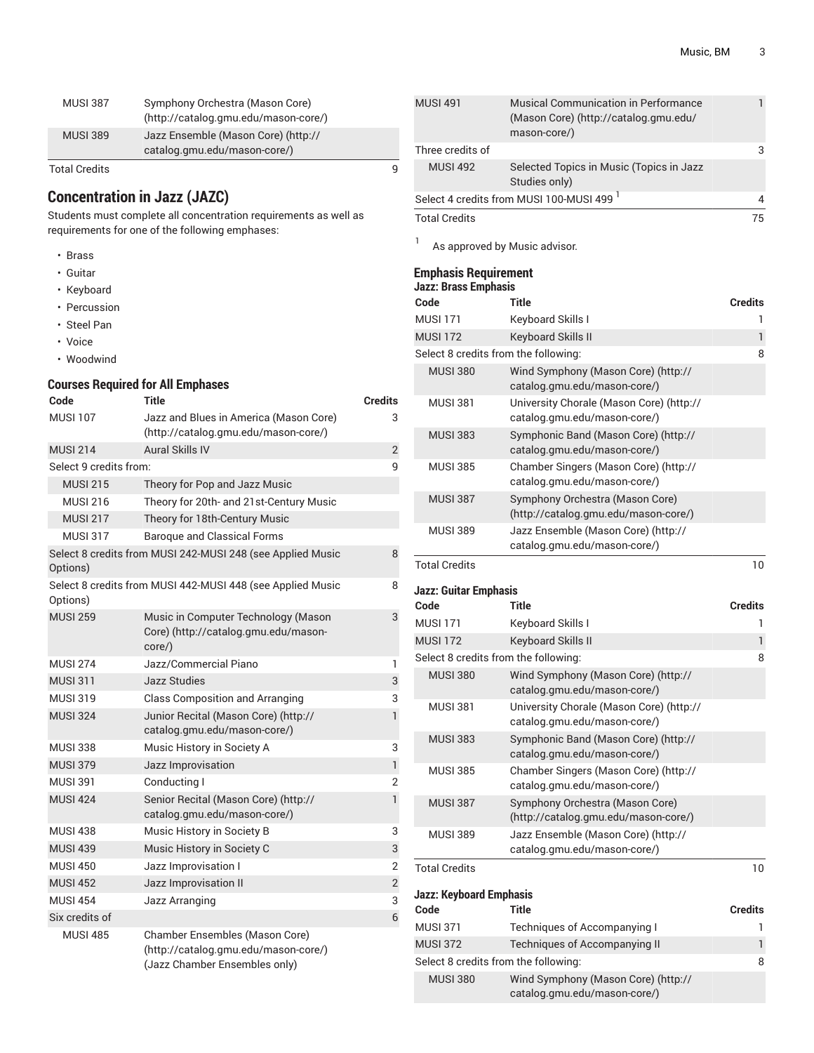| <b>MUSI 387</b>      | Symphony Orchestra (Mason Core)<br>(http://catalog.gmu.edu/mason-core/) |   |
|----------------------|-------------------------------------------------------------------------|---|
| <b>MUSI 389</b>      | Jazz Ensemble (Mason Core) (http://<br>catalog.gmu.edu/mason-core/)     |   |
| <b>Total Credits</b> |                                                                         | q |

# **Concentration in Jazz (JAZC)**

Students must complete all concentration requirements as well as requirements for one of the following emphases:

- Brass
- Guitar
- Keyboard
- Percussion
- Steel Pan
- Voice
- Woodwind

### **Courses Required for All Emphases**

| Code                   | Title                                                                                                   | <b>Credits</b> |
|------------------------|---------------------------------------------------------------------------------------------------------|----------------|
| <b>MUSI 107</b>        | Jazz and Blues in America (Mason Core)<br>(http://catalog.gmu.edu/mason-core/)                          | 3              |
| <b>MUSI 214</b>        | <b>Aural Skills IV</b>                                                                                  | $\overline{2}$ |
| Select 9 credits from: |                                                                                                         | 9              |
| <b>MUSI 215</b>        | Theory for Pop and Jazz Music                                                                           |                |
| <b>MUSI 216</b>        | Theory for 20th- and 21st-Century Music                                                                 |                |
| <b>MUSI 217</b>        | Theory for 18th-Century Music                                                                           |                |
| <b>MUSI 317</b>        | <b>Baroque and Classical Forms</b>                                                                      |                |
| Options)               | Select 8 credits from MUSI 242-MUSI 248 (see Applied Music                                              | 8              |
| Options)               | Select 8 credits from MUSI 442-MUSI 448 (see Applied Music                                              | 8              |
| <b>MUSI 259</b>        | Music in Computer Technology (Mason<br>Core) (http://catalog.gmu.edu/mason-<br>core/)                   | 3              |
| <b>MUSI 274</b>        | Jazz/Commercial Piano                                                                                   | 1              |
| <b>MUSI 311</b>        | <b>Jazz Studies</b>                                                                                     | 3              |
| <b>MUSI 319</b>        | <b>Class Composition and Arranging</b>                                                                  | 3              |
| <b>MUSI 324</b>        | Junior Recital (Mason Core) (http://<br>catalog.gmu.edu/mason-core/)                                    | $\mathbf{1}$   |
| <b>MUSI 338</b>        | Music History in Society A                                                                              | 3              |
| <b>MUSI 379</b>        | Jazz Improvisation                                                                                      | 1              |
| <b>MUSI 391</b>        | Conducting I                                                                                            | 2              |
| <b>MUSI 424</b>        | Senior Recital (Mason Core) (http://<br>catalog.gmu.edu/mason-core/)                                    | $\mathbf{1}$   |
| <b>MUSI 438</b>        | Music History in Society B                                                                              | 3              |
| <b>MUSI 439</b>        | Music History in Society C                                                                              | 3              |
| <b>MUSI 450</b>        | Jazz Improvisation I                                                                                    | $\overline{2}$ |
| <b>MUSI 452</b>        | Jazz Improvisation II                                                                                   | $\overline{2}$ |
| <b>MUSI 454</b>        | Jazz Arranging                                                                                          | 3              |
| Six credits of         |                                                                                                         | 6              |
| <b>MUSI 485</b>        | Chamber Ensembles (Mason Core)<br>(http://catalog.gmu.edu/mason-core/)<br>(Jazz Chamber Ensembles only) |                |

| <b>MUSI 491</b>      | Musical Communication in Performance<br>(Mason Core) (http://catalog.gmu.edu/<br>mason-core/) |     |
|----------------------|-----------------------------------------------------------------------------------------------|-----|
| Three credits of     |                                                                                               | З   |
| <b>MUSI 492</b>      | Selected Topics in Music (Topics in Jazz<br>Studies only)                                     |     |
|                      | Select 4 credits from MUSI 100-MUSI 499 <sup>1</sup>                                          | 4   |
| <b>Total Credits</b> |                                                                                               | 75. |

1 As approved by Music advisor.

### **Emphasis Requirement**

| Jazz: Brass Emphasis                 |                                                                          |                |  |
|--------------------------------------|--------------------------------------------------------------------------|----------------|--|
| Code                                 | Title                                                                    | <b>Credits</b> |  |
| <b>MUSI 171</b>                      | Keyboard Skills I                                                        |                |  |
| <b>MUSI 172</b>                      | <b>Keyboard Skills II</b>                                                | 1              |  |
| Select 8 credits from the following: |                                                                          | 8              |  |
| <b>MUSI 380</b>                      | Wind Symphony (Mason Core) (http://<br>catalog.gmu.edu/mason-core/)      |                |  |
| <b>MUSI 381</b>                      | University Chorale (Mason Core) (http://<br>catalog.gmu.edu/mason-core/) |                |  |
| <b>MUSI 383</b>                      | Symphonic Band (Mason Core) (http://<br>catalog.gmu.edu/mason-core/)     |                |  |
| <b>MUSI 385</b>                      | Chamber Singers (Mason Core) (http://<br>catalog.gmu.edu/mason-core/)    |                |  |
| <b>MUSI 387</b>                      | Symphony Orchestra (Mason Core)<br>(http://catalog.gmu.edu/mason-core/)  |                |  |
| <b>MUSI 389</b>                      | Jazz Ensemble (Mason Core) (http://<br>catalog.gmu.edu/mason-core/)      |                |  |
| <b>Total Credits</b>                 |                                                                          | 10             |  |

**Jazz: Guitar Emphasis**

| Code                                 | <b>Title</b>                                                             | <b>Credits</b> |
|--------------------------------------|--------------------------------------------------------------------------|----------------|
| <b>MUSI 171</b>                      | Keyboard Skills I                                                        | 1              |
| <b>MUSI 172</b>                      | Keyboard Skills II                                                       | 1              |
| Select 8 credits from the following: |                                                                          | 8              |
| <b>MUSI 380</b>                      | Wind Symphony (Mason Core) (http://<br>catalog.gmu.edu/mason-core/)      |                |
| <b>MUSI 381</b>                      | University Chorale (Mason Core) (http://<br>catalog.gmu.edu/mason-core/) |                |
| <b>MUSI 383</b>                      | Symphonic Band (Mason Core) (http://<br>catalog.gmu.edu/mason-core/)     |                |
| <b>MUSI 385</b>                      | Chamber Singers (Mason Core) (http://<br>catalog.gmu.edu/mason-core/)    |                |
| <b>MUSI 387</b>                      | Symphony Orchestra (Mason Core)<br>(http://catalog.gmu.edu/mason-core/)  |                |
| <b>MUSI 389</b>                      | Jazz Ensemble (Mason Core) (http://<br>catalog.gmu.edu/mason-core/)      |                |
| <b>Total Credits</b>                 |                                                                          | 10             |

**Jazz: Keyboard Emphasis**

| Code                                 | Title                                                               | <b>Credits</b> |
|--------------------------------------|---------------------------------------------------------------------|----------------|
| <b>MUSI 371</b>                      | Techniques of Accompanying I                                        |                |
| <b>MUSI 372</b>                      | <b>Techniques of Accompanying II</b>                                |                |
| Select 8 credits from the following: |                                                                     | 8              |
| <b>MUSI 380</b>                      | Wind Symphony (Mason Core) (http://<br>catalog.gmu.edu/mason-core/) |                |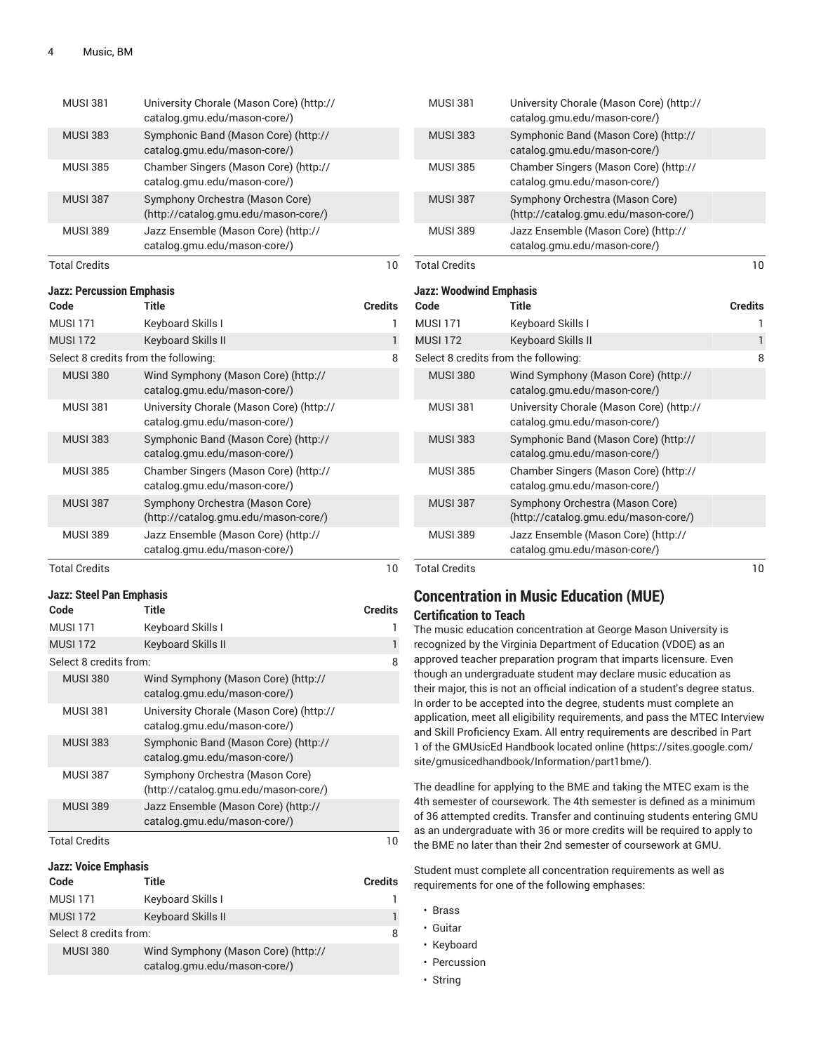| <b>MUSI 381</b>      | University Chorale (Mason Core) (http://<br>catalog.gmu.edu/mason-core/) |    |
|----------------------|--------------------------------------------------------------------------|----|
| <b>MUSI 383</b>      | Symphonic Band (Mason Core) (http://<br>catalog.gmu.edu/mason-core/)     |    |
| <b>MUSI 385</b>      | Chamber Singers (Mason Core) (http://<br>catalog.gmu.edu/mason-core/)    |    |
| <b>MUSI 387</b>      | Symphony Orchestra (Mason Core)<br>(http://catalog.gmu.edu/mason-core/)  |    |
| <b>MUSI 389</b>      | Jazz Ensemble (Mason Core) (http://<br>catalog.gmu.edu/mason-core/)      |    |
| <b>Total Credits</b> |                                                                          | 10 |

| Jazz: Percussion Emphasis |  |
|---------------------------|--|
|---------------------------|--|

| Code                                 | Title                                                                    | <b>Credits</b> |
|--------------------------------------|--------------------------------------------------------------------------|----------------|
| <b>MUSI 171</b>                      | Keyboard Skills I                                                        |                |
| <b>MUSI 172</b>                      | Keyboard Skills II                                                       | 1              |
| Select 8 credits from the following: |                                                                          | 8              |
| <b>MUSI 380</b>                      | Wind Symphony (Mason Core) (http://<br>catalog.gmu.edu/mason-core/)      |                |
| <b>MUSI 381</b>                      | University Chorale (Mason Core) (http://<br>catalog.gmu.edu/mason-core/) |                |
| <b>MUSI 383</b>                      | Symphonic Band (Mason Core) (http://<br>catalog.gmu.edu/mason-core/)     |                |
| <b>MUSI 385</b>                      | Chamber Singers (Mason Core) (http://<br>catalog.gmu.edu/mason-core/)    |                |
| <b>MUSI 387</b>                      | Symphony Orchestra (Mason Core)<br>(http://catalog.gmu.edu/mason-core/)  |                |
| <b>MUSI 389</b>                      | Jazz Ensemble (Mason Core) (http://<br>catalog.gmu.edu/mason-core/)      |                |
| <b>Total Credits</b>                 |                                                                          | 10             |

#### **Jazz: Steel Pan Emphasis**

| Code                   | Title                                                                    | <b>Credits</b> |
|------------------------|--------------------------------------------------------------------------|----------------|
| <b>MUSI 171</b>        | Keyboard Skills I                                                        |                |
| <b>MUSI 172</b>        | <b>Keyboard Skills II</b>                                                |                |
| Select 8 credits from: |                                                                          | 8              |
| <b>MUSI 380</b>        | Wind Symphony (Mason Core) (http://<br>catalog.gmu.edu/mason-core/)      |                |
| <b>MUSI 381</b>        | University Chorale (Mason Core) (http://<br>catalog.gmu.edu/mason-core/) |                |
| <b>MUSI 383</b>        | Symphonic Band (Mason Core) (http://<br>catalog.gmu.edu/mason-core/)     |                |
| <b>MUSI 387</b>        | Symphony Orchestra (Mason Core)<br>(http://catalog.gmu.edu/mason-core/)  |                |
| <b>MUSI 389</b>        | Jazz Ensemble (Mason Core) (http://<br>catalog.gmu.edu/mason-core/)      |                |
| <b>Total Credits</b>   |                                                                          | 10             |

# **Jazz: Voice Emphasis**

| Code                   | Title                                                               | <b>Credits</b> |
|------------------------|---------------------------------------------------------------------|----------------|
| <b>MUSI 171</b>        | Keyboard Skills I                                                   |                |
| <b>MUSI 172</b>        | <b>Keyboard Skills II</b>                                           | ı              |
| Select 8 credits from: |                                                                     | 8              |
| <b>MUSI 380</b>        | Wind Symphony (Mason Core) (http://<br>catalog.gmu.edu/mason-core/) |                |

| <b>MUSI 381</b>                      | University Chorale (Mason Core) (http://<br>catalog.gmu.edu/mason-core/) |                |
|--------------------------------------|--------------------------------------------------------------------------|----------------|
| <b>MUSI 383</b>                      | Symphonic Band (Mason Core) (http://<br>catalog.gmu.edu/mason-core/)     |                |
| <b>MUSI 385</b>                      | Chamber Singers (Mason Core) (http://<br>catalog.gmu.edu/mason-core/)    |                |
| <b>MUSI 387</b>                      | Symphony Orchestra (Mason Core)<br>(http://catalog.gmu.edu/mason-core/)  |                |
| <b>MUSI 389</b>                      | Jazz Ensemble (Mason Core) (http://<br>catalog.gmu.edu/mason-core/)      |                |
| <b>Total Credits</b>                 |                                                                          | 10             |
| <b>Jazz: Woodwind Emphasis</b>       |                                                                          |                |
| Code                                 | <b>Title</b>                                                             | <b>Credits</b> |
| <b>MUSI 171</b>                      | Keyboard Skills I                                                        | ı              |
| <b>MUSI 172</b>                      | <b>Keyboard Skills II</b>                                                | $\mathbf{1}$   |
| Select 8 credits from the following: |                                                                          | 8              |
| <b>MUSI 380</b>                      | Wind Symphony (Mason Core) (http://<br>catalog.gmu.edu/mason-core/)      |                |
| <b>MUSI 381</b>                      | University Chorale (Mason Core) (http://<br>catalog.gmu.edu/mason-core/) |                |
| <b>MUSI 383</b>                      | Symphonic Band (Mason Core) (http://<br>catalog.gmu.edu/mason-core/)     |                |
| <b>MUSI 385</b>                      | Chamber Singers (Mason Core) (http://<br>catalog.gmu.edu/mason-core/)    |                |
| <b>MUSI 387</b>                      | Symphony Orchestra (Mason Core)<br>(http://catalog.gmu.edu/mason-core/)  |                |
| <b>MUSI 389</b>                      | Jazz Ensemble (Mason Core) (http://<br>catalog.gmu.edu/mason-core/)      |                |
| <b>Total Credits</b>                 |                                                                          | 10             |

### **Concentration in Music Education (MUE) Certification to Teach**

The music education concentration at George Mason University is recognized by the Virginia Department of Education (VDOE) as an approved teacher preparation program that imparts licensure. Even though an undergraduate student may declare music education as their major, this is not an official indication of a student's degree status. In order to be accepted into the degree, students must complete an application, meet all eligibility requirements, and pass the MTEC Interview and Skill Proficiency Exam. All entry requirements are described in Part 1 of the GMUsicEd Handbook located [online \(https://sites.google.com/](https://sites.google.com/site/gmusicedhandbook/Information/part1bme/) [site/gmusicedhandbook/Information/part1bme/\)](https://sites.google.com/site/gmusicedhandbook/Information/part1bme/).

The deadline for applying to the BME and taking the MTEC exam is the 4th semester of coursework. The 4th semester is defined as a minimum of 36 attempted credits. Transfer and continuing students entering GMU as an undergraduate with 36 or more credits will be required to apply to the BME no later than their 2nd semester of coursework at GMU.

Student must complete all concentration requirements as well as requirements for one of the following emphases:

- Brass
- Guitar
- Keyboard
- Percussion
- String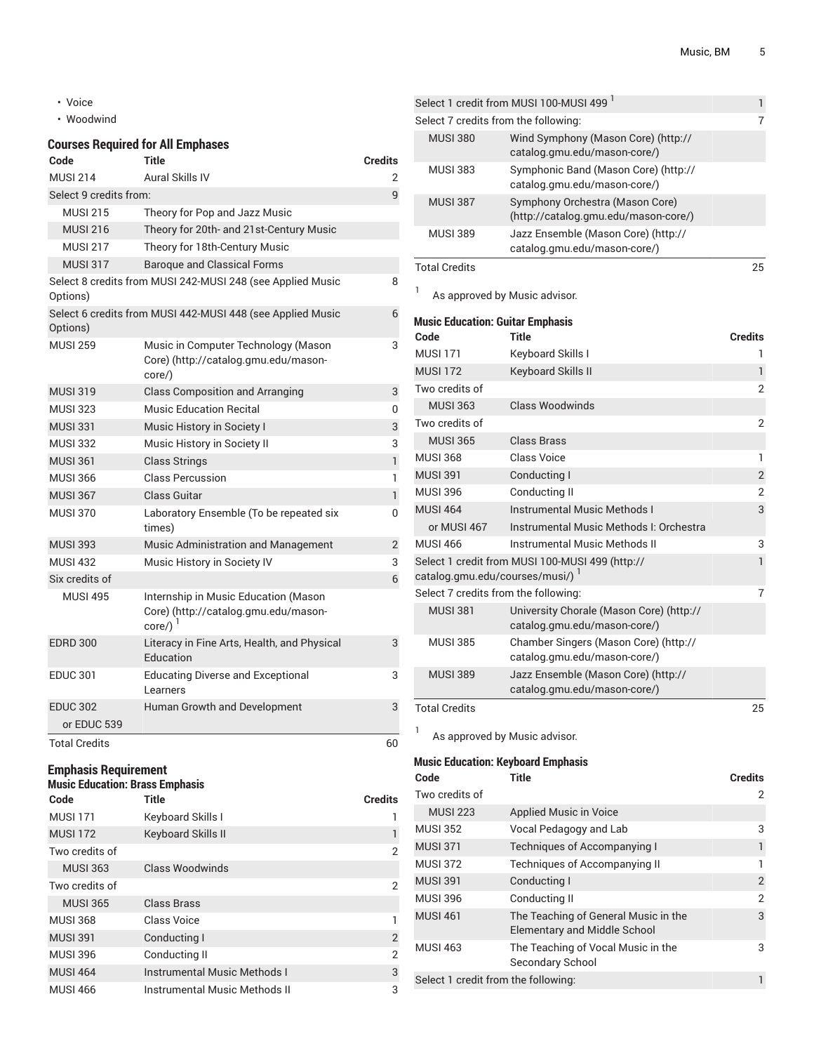- Voice
- Woodwind

### **Courses Required for All Emphases**

| Code                   | Title                                                                                             | <b>Credits</b> |
|------------------------|---------------------------------------------------------------------------------------------------|----------------|
| MUSI 214               | Aural Skills IV                                                                                   | 2              |
| Select 9 credits from: |                                                                                                   | 9              |
| <b>MUSI 215</b>        | Theory for Pop and Jazz Music                                                                     |                |
| <b>MUSI 216</b>        | Theory for 20th- and 21st-Century Music                                                           |                |
| <b>MUSI 217</b>        | Theory for 18th-Century Music                                                                     |                |
| <b>MUSI 317</b>        | <b>Baroque and Classical Forms</b>                                                                |                |
| Options)               | Select 8 credits from MUSI 242-MUSI 248 (see Applied Music                                        | 8              |
| Options)               | Select 6 credits from MUSI 442-MUSI 448 (see Applied Music                                        | 6              |
| <b>MUSI 259</b>        | Music in Computer Technology (Mason<br>Core) (http://catalog.gmu.edu/mason-<br>core/)             | 3              |
| <b>MUSI 319</b>        | <b>Class Composition and Arranging</b>                                                            | 3              |
| <b>MUSI 323</b>        | Music Education Recital                                                                           | 0              |
| <b>MUSI 331</b>        | Music History in Society I                                                                        | 3              |
| <b>MUSI 332</b>        | Music History in Society II                                                                       | 3              |
| <b>MUSI 361</b>        | <b>Class Strings</b>                                                                              | $\mathbf{1}$   |
| <b>MUSI 366</b>        | <b>Class Percussion</b>                                                                           | 1              |
| <b>MUSI 367</b>        | Class Guitar                                                                                      | 1              |
| <b>MUSI 370</b>        | Laboratory Ensemble (To be repeated six<br>times)                                                 | 0              |
| <b>MUSI 393</b>        | Music Administration and Management                                                               | 2              |
| <b>MUSI 432</b>        | Music History in Society IV                                                                       | 3              |
| Six credits of         |                                                                                                   | 6              |
| <b>MUSI 495</b>        | Internship in Music Education (Mason<br>Core) (http://catalog.gmu.edu/mason-<br>$core/$ ) $^{-1}$ |                |
| <b>EDRD 300</b>        | Literacy in Fine Arts, Health, and Physical<br>Education                                          | 3              |
| <b>EDUC 301</b>        | <b>Educating Diverse and Exceptional</b><br>Learners                                              | 3              |
| <b>EDUC 302</b>        | Human Growth and Development                                                                      | 3              |
| or EDUC 539            |                                                                                                   |                |
| <b>Total Credits</b>   |                                                                                                   | 60             |

# **Emphasis Requirement**

### **Music Education: Brass Emphasis**

| Code            | <b>Title</b>                        | <b>Credits</b> |
|-----------------|-------------------------------------|----------------|
| <b>MUSI 171</b> | Keyboard Skills I                   |                |
| <b>MUSI 172</b> | <b>Keyboard Skills II</b>           |                |
| Two credits of  |                                     | 2              |
| <b>MUSI 363</b> | Class Woodwinds                     |                |
| Two credits of  |                                     | 2              |
| <b>MUSI 365</b> | Class Brass                         |                |
| <b>MUSI 368</b> | Class Voice                         |                |
| <b>MUSI 391</b> | Conducting I                        | 2              |
| <b>MUSI 396</b> | Conducting II                       | $\overline{2}$ |
| <b>MUSI 464</b> | <b>Instrumental Music Methods I</b> | 3              |
| <b>MUSI 466</b> | Instrumental Music Methods II       | 3              |

|                                      | Select 1 credit from MUSI 100-MUSI 499 <sup>1</sup>                     |    |
|--------------------------------------|-------------------------------------------------------------------------|----|
| Select 7 credits from the following: |                                                                         | 7  |
| <b>MUSI 380</b>                      | Wind Symphony (Mason Core) (http://<br>catalog.gmu.edu/mason-core/)     |    |
| <b>MUSI 383</b>                      | Symphonic Band (Mason Core) (http://<br>catalog.gmu.edu/mason-core/)    |    |
| <b>MUSI 387</b>                      | Symphony Orchestra (Mason Core)<br>(http://catalog.gmu.edu/mason-core/) |    |
| <b>MUSI 389</b>                      | Jazz Ensemble (Mason Core) (http://<br>catalog.gmu.edu/mason-core/)     |    |
| <b>Total Credits</b>                 |                                                                         | 25 |
|                                      | Le annroved by Music advisor                                            |    |

As approved by Music advisor.

**Music Education: Guitar Emphasis**

| Code                                 | Title                                                                    | <b>Credits</b> |
|--------------------------------------|--------------------------------------------------------------------------|----------------|
| <b>MUSI 171</b>                      | Keyboard Skills I                                                        | 1              |
| <b>MUSI 172</b>                      | Keyboard Skills II                                                       | 1              |
| Two credits of                       |                                                                          | 2              |
| <b>MUSI 363</b>                      | <b>Class Woodwinds</b>                                                   |                |
| Two credits of                       |                                                                          | $\overline{2}$ |
| <b>MUSI 365</b>                      | <b>Class Brass</b>                                                       |                |
| <b>MUSI 368</b>                      | Class Voice                                                              | 1              |
| <b>MUSI 391</b>                      | Conducting I                                                             | $\overline{2}$ |
| <b>MUSI 396</b>                      | Conducting II                                                            | 2              |
| <b>MUSI 464</b>                      | <b>Instrumental Music Methods I</b>                                      | 3              |
| or MUSI 467                          | Instrumental Music Methods I: Orchestra                                  |                |
| <b>MUSI 466</b>                      | Instrumental Music Methods II                                            | 3              |
| catalog.gmu.edu/courses/musi/) 1     | Select 1 credit from MUSI 100-MUSI 499 (http://                          | $\mathbf{1}$   |
| Select 7 credits from the following: |                                                                          | 7              |
| <b>MUSI 381</b>                      | University Chorale (Mason Core) (http://<br>catalog.gmu.edu/mason-core/) |                |
| <b>MUSI 385</b>                      | Chamber Singers (Mason Core) (http://<br>catalog.gmu.edu/mason-core/)    |                |
| <b>MUSI 389</b>                      | Jazz Ensemble (Mason Core) (http://<br>catalog.gmu.edu/mason-core/)      |                |
| <b>Total Credits</b>                 |                                                                          | 25             |

<sup>1</sup> As approved by Music advisor.

#### **Music Education: Keyboard Emphasis**

| Code                                | Title                                                                       | <b>Credits</b> |
|-------------------------------------|-----------------------------------------------------------------------------|----------------|
| Two credits of                      |                                                                             | 2              |
| <b>MUSI 223</b>                     | <b>Applied Music in Voice</b>                                               |                |
| <b>MUSI 352</b>                     | Vocal Pedagogy and Lab                                                      | 3              |
| <b>MUSI 371</b>                     | <b>Techniques of Accompanying I</b>                                         | 1              |
| <b>MUSI 372</b>                     | <b>Techniques of Accompanying II</b>                                        | 1              |
| <b>MUSI 391</b>                     | Conducting I                                                                | $\overline{2}$ |
| <b>MUSI 396</b>                     | Conducting II                                                               | $\overline{2}$ |
| <b>MUSI 461</b>                     | The Teaching of General Music in the<br><b>Elementary and Middle School</b> | 3              |
| <b>MUSI 463</b>                     | The Teaching of Vocal Music in the<br>Secondary School                      | 3              |
| Select 1 credit from the following: |                                                                             | 1              |
|                                     |                                                                             |                |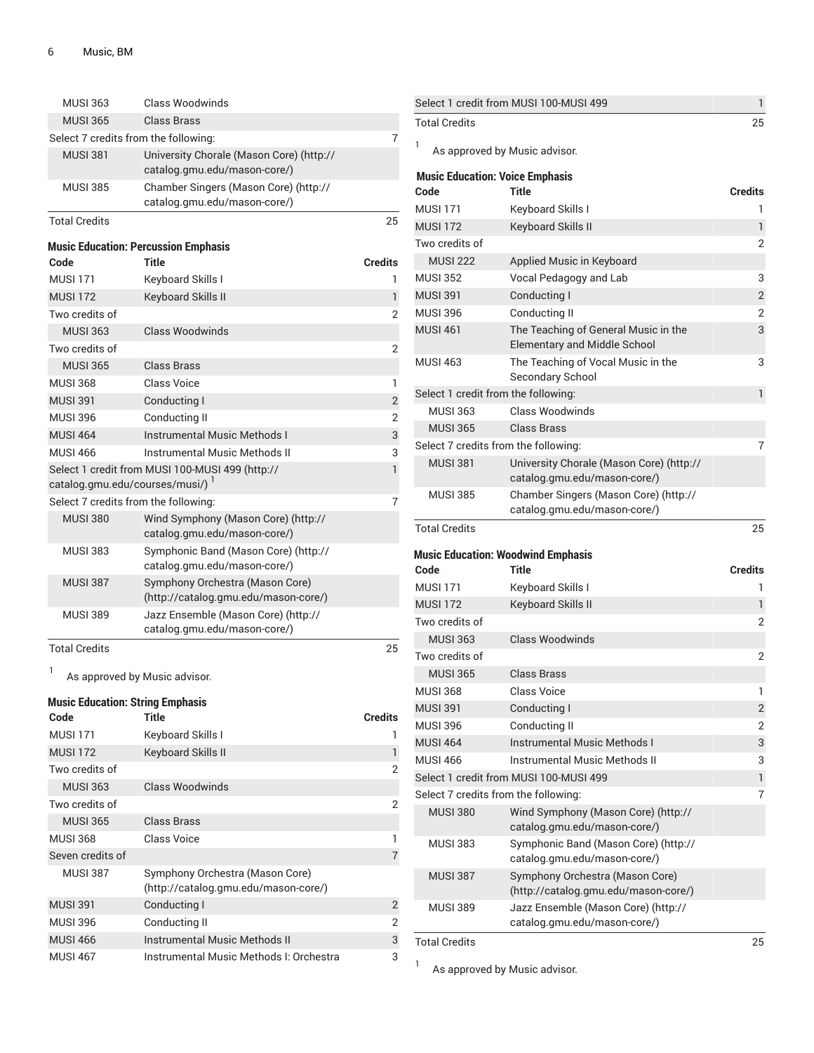| <b>Total Credits</b>                 |                                                                         | 25             |
|--------------------------------------|-------------------------------------------------------------------------|----------------|
| <b>MUSI 389</b>                      | Jazz Ensemble (Mason Core) (http://<br>catalog.gmu.edu/mason-core/)     |                |
| <b>MUSI 387</b>                      | Symphony Orchestra (Mason Core)<br>(http://catalog.gmu.edu/mason-core/) |                |
| <b>MUSI 383</b>                      | Symphonic Band (Mason Core) (http://<br>catalog.gmu.edu/mason-core/)    |                |
| <b>MUSI 380</b>                      | Wind Symphony (Mason Core) (http://<br>catalog.gmu.edu/mason-core/)     |                |
| Select 7 credits from the following: |                                                                         | $\overline{7}$ |
| catalog.gmu.edu/courses/musi/) 1     |                                                                         |                |
|                                      | Select 1 credit from MUSI 100-MUSI 499 (http://                         | 1              |
| <b>MUSI 466</b>                      | Instrumental Music Methods II                                           | 3              |
| <b>MUSI 464</b>                      | <b>Instrumental Music Methods I</b>                                     | 3              |
| <b>MUSI 396</b>                      | Conducting II                                                           | 2              |
| <b>MUSI 391</b>                      | Conducting I                                                            | $\overline{2}$ |
| <b>MUSI 368</b>                      | Class Voice                                                             | 1              |
| <b>MUSI 365</b>                      | <b>Class Brass</b>                                                      |                |
| Two credits of                       |                                                                         | 2              |
| <b>MUSI 363</b>                      | Class Woodwinds                                                         |                |
| Two credits of                       |                                                                         | $\overline{2}$ |
| <b>MUSI 172</b>                      | Keyboard Skills II                                                      | $\mathbf{1}$   |
| <b>MUSL171</b>                       | Keyboard Skills I                                                       | 1              |
| Code                                 | <b>Music Education: Percussion Emphasis</b><br>Title                    | <b>Credits</b> |
|                                      |                                                                         |                |
| <b>Total Credits</b>                 |                                                                         | 25             |
| <b>MUSI 385</b>                      | Chamber Singers (Mason Core) (http://<br>catalog.gmu.edu/mason-core/)   |                |
|                                      | catalog.gmu.edu/mason-core/)                                            |                |
| <b>MUSI 381</b>                      | University Chorale (Mason Core) (http://                                |                |
| Select 7 credits from the following: |                                                                         | 7              |
| <b>MUSI 365</b>                      | Class Brass                                                             |                |
| <b>MUSI 363</b>                      | Class Woodwinds                                                         |                |

1 As approved by Music advisor.

# **Music Education: String Emphasis**

| Code             | Title                                                                   | <b>Credits</b> |
|------------------|-------------------------------------------------------------------------|----------------|
| <b>MUSI 171</b>  | Keyboard Skills I                                                       |                |
| <b>MUSI 172</b>  | <b>Keyboard Skills II</b>                                               |                |
| Two credits of   |                                                                         | 2              |
| <b>MUSI 363</b>  | Class Woodwinds                                                         |                |
| Two credits of   |                                                                         | 2              |
| <b>MUSI 365</b>  | Class Brass                                                             |                |
| <b>MUSI 368</b>  | Class Voice                                                             |                |
| Seven credits of |                                                                         | 7              |
| <b>MUSI 387</b>  | Symphony Orchestra (Mason Core)<br>(http://catalog.gmu.edu/mason-core/) |                |
| <b>MUSI 391</b>  | Conducting I                                                            | $\overline{2}$ |
| <b>MUSI 396</b>  | Conducting II                                                           | 2              |
| <b>MUSI 466</b>  | Instrumental Music Methods II                                           | 3              |
| <b>MUSI 467</b>  | Instrumental Music Methods I: Orchestra                                 | 3              |

|                                        | Select 1 credit from MUSI 100-MUSI 499                                      | 1              |
|----------------------------------------|-----------------------------------------------------------------------------|----------------|
| <b>Total Credits</b>                   |                                                                             | 25             |
| 1                                      | As approved by Music advisor.                                               |                |
| <b>Music Education: Voice Emphasis</b> |                                                                             |                |
| Code                                   | Title                                                                       | <b>Credits</b> |
| <b>MUSI 171</b>                        | Keyboard Skills I                                                           | 1              |
| <b>MUSI 172</b>                        | Keyboard Skills II                                                          | 1              |
| Two credits of                         |                                                                             | $\overline{2}$ |
| <b>MUSI 222</b>                        | Applied Music in Keyboard                                                   |                |
| <b>MUSI 352</b>                        | Vocal Pedagogy and Lab                                                      | 3              |
| <b>MUSI 391</b>                        | Conducting I                                                                | $\overline{2}$ |
| <b>MUSI 396</b>                        | Conducting II                                                               | 2              |
| <b>MUSI 461</b>                        | The Teaching of General Music in the<br><b>Elementary and Middle School</b> | 3              |
| <b>MUSI 463</b>                        | The Teaching of Vocal Music in the<br>Secondary School                      | 3              |
| Select 1 credit from the following:    |                                                                             | 1              |
| <b>MUSI 363</b>                        | Class Woodwinds                                                             |                |
| <b>MUSI 365</b>                        | Class Brass                                                                 |                |
| Select 7 credits from the following:   |                                                                             | 7              |
| <b>MUSI 381</b>                        | University Chorale (Mason Core) (http://<br>catalog.gmu.edu/mason-core/)    |                |
| <b>MUSI 385</b>                        | Chamber Singers (Mason Core) (http://<br>catalog.gmu.edu/mason-core/)       |                |
| <b>Total Credits</b>                   |                                                                             | 25             |
|                                        | <b>Music Education: Woodwind Emphasis</b>                                   |                |
| Code                                   | Title                                                                       | <b>Credits</b> |
| <b>MUSI 171</b>                        | Keyboard Skills I                                                           | 1              |
| <b>MUSI 172</b>                        | Keyboard Skills II                                                          | 1              |
| Two credits of                         |                                                                             | $\overline{2}$ |
| <b>MUSI 363</b>                        | <b>Class Woodwinds</b>                                                      |                |
| Two credits of                         |                                                                             | $\overline{2}$ |
| <b>MUSI 365</b>                        | <b>Class Brass</b>                                                          |                |
| <b>MUSI 368</b>                        | <b>Class Voice</b>                                                          | 1              |
| <b>MUSI 391</b>                        | Conducting I                                                                | $\overline{2}$ |
| <b>MUSI 396</b>                        | Conducting II                                                               | $\overline{2}$ |
| <b>MUSI 464</b><br><b>MUSI 466</b>     | <b>Instrumental Music Methods I</b><br>Instrumental Music Methods II        | 3              |
|                                        | Select 1 credit from MUSI 100-MUSI 499                                      | 3<br>1         |
| Select 7 credits from the following:   |                                                                             | 7              |
| <b>MUSI 380</b>                        | Wind Symphony (Mason Core) (http://                                         |                |
|                                        | catalog.gmu.edu/mason-core/)                                                |                |
| <b>MUSI 383</b>                        | Symphonic Band (Mason Core) (http://<br>catalog.gmu.edu/mason-core/)        |                |
| <b>MUSI 387</b>                        | Symphony Orchestra (Mason Core)<br>(http://catalog.gmu.edu/mason-core/)     |                |
| <b>MUSI 389</b>                        | Jazz Ensemble (Mason Core) (http://<br>catalog.gmu.edu/mason-core/)         |                |
| <b>Total Credits</b>                   |                                                                             | 25             |

<sup>1</sup> As approved by Music advisor.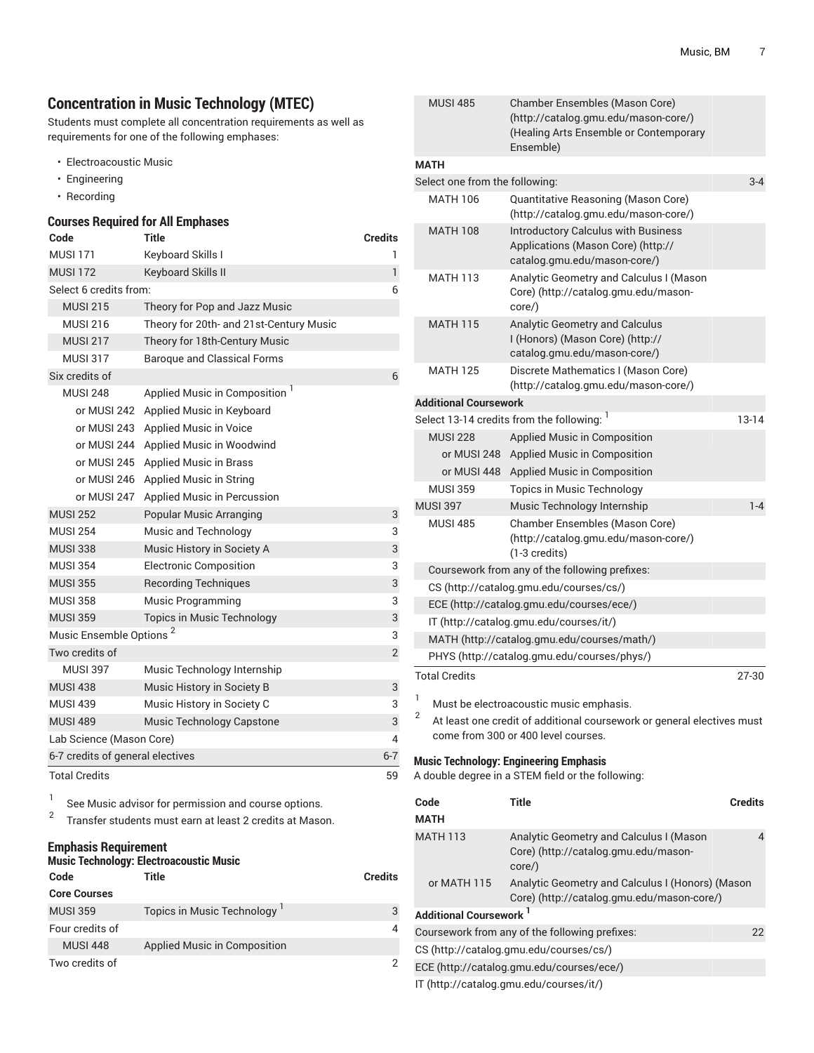# **Concentration in Music Technology (MTEC)**

Students must complete all concentration requirements as well as requirements for one of the following emphases:

- Electroacoustic Music
- Engineering
- Recording

### **Courses Required for All Emphases**

| Code                                | <b>Title</b>                              | <b>Credits</b> |
|-------------------------------------|-------------------------------------------|----------------|
| <b>MUSI 171</b>                     | Keyboard Skills I                         | 1              |
| <b>MUSI 172</b>                     | Keyboard Skills II                        | 1              |
| Select 6 credits from:              |                                           | 6              |
| <b>MUSI 215</b>                     | Theory for Pop and Jazz Music             |                |
| <b>MUSI 216</b>                     | Theory for 20th- and 21st-Century Music   |                |
| <b>MUSI 217</b>                     | Theory for 18th-Century Music             |                |
| <b>MUSI 317</b>                     | <b>Baroque and Classical Forms</b>        |                |
| Six credits of                      |                                           | 6              |
| <b>MUSI 248</b>                     | Applied Music in Composition <sup>1</sup> |                |
| or MUSI 242                         | Applied Music in Keyboard                 |                |
| or MUSI 243                         | Applied Music in Voice                    |                |
| or MUSI 244                         | Applied Music in Woodwind                 |                |
| or MUSI 245                         | <b>Applied Music in Brass</b>             |                |
| or MUSI 246                         | Applied Music in String                   |                |
| or MUSI 247                         | Applied Music in Percussion               |                |
| <b>MUSI 252</b>                     | <b>Popular Music Arranging</b>            | 3              |
| <b>MUSI 254</b>                     | Music and Technology                      | 3              |
| <b>MUSI 338</b>                     | Music History in Society A                | 3              |
| <b>MUSI 354</b>                     | <b>Electronic Composition</b>             | 3              |
| <b>MUSI 355</b>                     | <b>Recording Techniques</b>               | 3              |
| <b>MUSI 358</b>                     | <b>Music Programming</b>                  | 3              |
| <b>MUSI 359</b>                     | <b>Topics in Music Technology</b>         | 3              |
| Music Ensemble Options <sup>2</sup> |                                           | 3              |
| Two credits of                      |                                           | $\overline{2}$ |
| <b>MUSI 397</b>                     | Music Technology Internship               |                |
| <b>MUSI 438</b>                     | Music History in Society B                | 3              |
| <b>MUSI 439</b>                     | Music History in Society C                | 3              |
| <b>MUSI 489</b>                     | Music Technology Capstone                 | 3              |
| Lab Science (Mason Core)            |                                           | 4              |
| 6-7 credits of general electives    |                                           | $6 - 7$        |
| <b>Total Credits</b>                |                                           | 59             |

1 See Music advisor for permission and course options. 2

Transfer students must earn at least 2 credits at Mason.

### **Emphasis Requirement**

# **Music Technology: Electroacoustic Music**

| Code                | Title                        | <b>Credits</b> |
|---------------------|------------------------------|----------------|
| <b>Core Courses</b> |                              |                |
| <b>MUSI 359</b>     | Topics in Music Technology   | 3              |
| Four credits of     |                              | 4              |
| <b>MUSI 448</b>     | Applied Music in Composition |                |
| Two credits of      |                              | 2              |

|                                    | (http://catalog.gmu.edu/mason-core/)<br>(Healing Arts Ensemble or Contemporary<br>Ensemble)                      |                |
|------------------------------------|------------------------------------------------------------------------------------------------------------------|----------------|
| <b>MATH</b>                        |                                                                                                                  |                |
| Select one from the following:     |                                                                                                                  | $3-4$          |
| <b>MATH 106</b>                    | Quantitative Reasoning (Mason Core)<br>(http://catalog.gmu.edu/mason-core/)                                      |                |
| <b>MATH 108</b>                    | <b>Introductory Calculus with Business</b><br>Applications (Mason Core) (http://<br>catalog.gmu.edu/mason-core/) |                |
| <b>MATH 113</b>                    | Analytic Geometry and Calculus I (Mason<br>Core) (http://catalog.gmu.edu/mason-<br>core/)                        |                |
| <b>MATH 115</b>                    | Analytic Geometry and Calculus<br>I (Honors) (Mason Core) (http://<br>catalog.gmu.edu/mason-core/)               |                |
| <b>MATH 125</b>                    | Discrete Mathematics I (Mason Core)<br>(http://catalog.gmu.edu/mason-core/)                                      |                |
| <b>Additional Coursework</b>       |                                                                                                                  |                |
|                                    | Select 13-14 credits from the following: 1                                                                       | $13-14$        |
| <b>MUSI 228</b>                    | Applied Music in Composition                                                                                     |                |
| or MUSI 248                        | Applied Music in Composition                                                                                     |                |
| or MUSI 448                        | Applied Music in Composition                                                                                     |                |
| <b>MUSI 359</b>                    | <b>Topics in Music Technology</b>                                                                                |                |
| <b>MUSI 397</b>                    | Music Technology Internship                                                                                      | $1 - 4$        |
| <b>MUSI 485</b>                    | Chamber Ensembles (Mason Core)<br>(http://catalog.gmu.edu/mason-core/)<br>$(1-3 \text{ credits})$                |                |
|                                    | Coursework from any of the following prefixes:                                                                   |                |
|                                    | CS (http://catalog.gmu.edu/courses/cs/)                                                                          |                |
|                                    | ECE (http://catalog.gmu.edu/courses/ece/)                                                                        |                |
|                                    | IT (http://catalog.gmu.edu/courses/it/)                                                                          |                |
|                                    | MATH (http://catalog.gmu.edu/courses/math/)                                                                      |                |
|                                    | PHYS (http://catalog.gmu.edu/courses/phys/)                                                                      |                |
| <b>Total Credits</b>               |                                                                                                                  | 27-30          |
| 1                                  | Must be electroacoustic music emphasis.                                                                          |                |
| 2                                  |                                                                                                                  |                |
|                                    | At least one credit of additional coursework or general electives must<br>come from 300 or 400 level courses.    |                |
|                                    | <b>Music Technology: Engineering Emphasis</b><br>A double degree in a STEM field or the following:               |                |
| Code<br><b>MATH</b>                | <b>Title</b>                                                                                                     | <b>Credits</b> |
| <b>MATH 113</b>                    | Analytic Geometry and Calculus I (Mason<br>Core) (http://catalog.gmu.edu/mason-<br>core/)                        | 4              |
| or MATH 115                        | Analytic Geometry and Calculus I (Honors) (Mason<br>Core) (http://catalog.gmu.edu/mason-core/)                   |                |
| Additional Coursework <sup>1</sup> |                                                                                                                  |                |
|                                    | Coursework from any of the following prefixes:                                                                   | 22             |
|                                    | CS (http://catalog.gmu.edu/courses/cs/)                                                                          |                |
|                                    | ECE (http://catalog.gmu.edu/courses/ece/)                                                                        |                |

MUSI 485 Chamber Ensembles [\(Mason](http://catalog.gmu.edu/mason-core/) Core)

[IT](http://catalog.gmu.edu/courses/it/) (<http://catalog.gmu.edu/courses/it/>)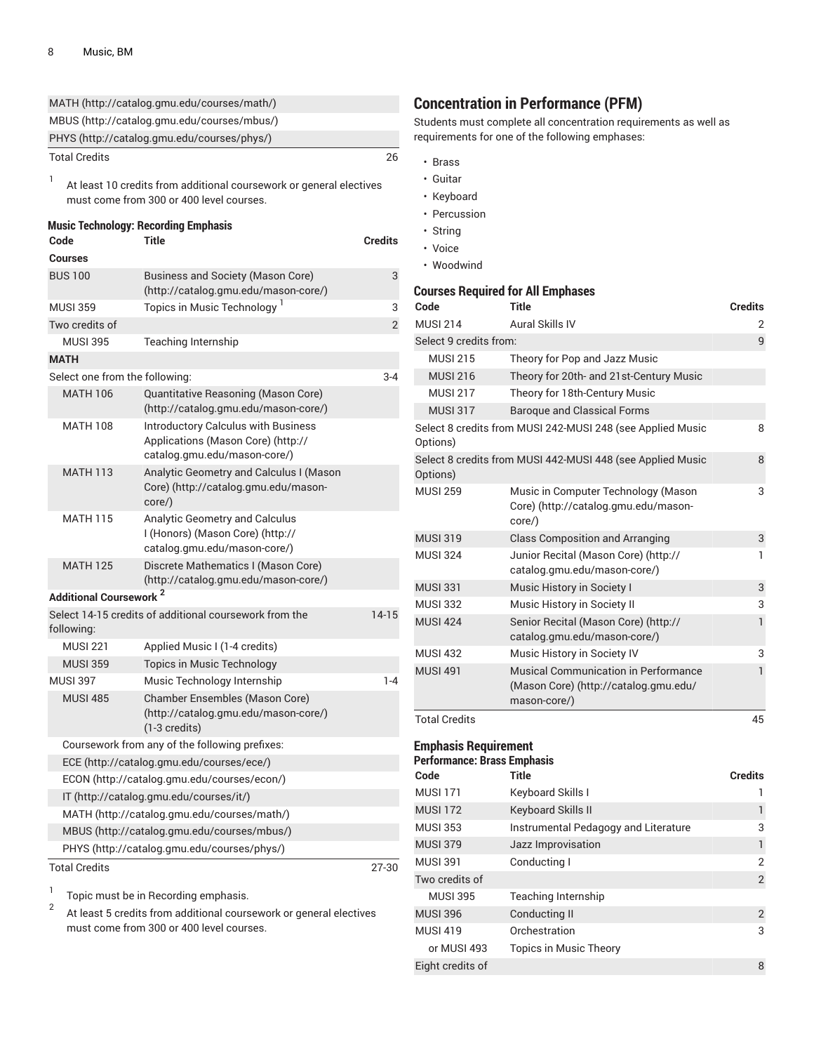|                                          | MATH (http://catalog.gmu.edu/courses/math/)                                                                      |                |
|------------------------------------------|------------------------------------------------------------------------------------------------------------------|----------------|
|                                          | MBUS (http://catalog.gmu.edu/courses/mbus/)                                                                      |                |
|                                          | PHYS (http://catalog.gmu.edu/courses/phys/)                                                                      |                |
| <b>Total Credits</b>                     |                                                                                                                  | 26             |
| 1                                        | At least 10 credits from additional coursework or general electives<br>must come from 300 or 400 level courses.  |                |
| Code                                     | <b>Music Technology: Recording Emphasis</b><br><b>Title</b>                                                      | <b>Credits</b> |
| <b>Courses</b>                           |                                                                                                                  |                |
| <b>BUS 100</b>                           | <b>Business and Society (Mason Core)</b><br>(http://catalog.gmu.edu/mason-core/)                                 | 3              |
| <b>MUSI 359</b>                          | Topics in Music Technology <sup>1</sup>                                                                          | 3              |
| Two credits of                           |                                                                                                                  | $\overline{2}$ |
| <b>MUSI 395</b>                          | Teaching Internship                                                                                              |                |
| <b>MATH</b>                              |                                                                                                                  |                |
| Select one from the following:           |                                                                                                                  | $3 - 4$        |
| <b>MATH 106</b>                          | Quantitative Reasoning (Mason Core)<br>(http://catalog.gmu.edu/mason-core/)                                      |                |
| <b>MATH 108</b>                          | <b>Introductory Calculus with Business</b><br>Applications (Mason Core) (http://<br>catalog.gmu.edu/mason-core/) |                |
| <b>MATH 113</b>                          | Analytic Geometry and Calculus I (Mason<br>Core) (http://catalog.gmu.edu/mason-<br>core/)                        |                |
| <b>MATH 115</b>                          | Analytic Geometry and Calculus<br>I (Honors) (Mason Core) (http://<br>catalog.gmu.edu/mason-core/)               |                |
| <b>MATH 125</b>                          | Discrete Mathematics I (Mason Core)<br>(http://catalog.gmu.edu/mason-core/)                                      |                |
| <b>Additional Coursework<sup>2</sup></b> |                                                                                                                  |                |
| following:                               | Select 14-15 credits of additional coursework from the                                                           | $14-15$        |
| <b>MUSI 221</b>                          | Applied Music I (1-4 credits)                                                                                    |                |
| <b>MUSI 359</b>                          | <b>Topics in Music Technology</b>                                                                                |                |
| <b>MUSI 397</b>                          | Music Technology Internship                                                                                      | $1 - 4$        |
| <b>MUSI 485</b>                          | Chamber Ensembles (Mason Core)<br>(http://catalog.gmu.edu/mason-core/)<br>$(1-3 \text{ credits})$                |                |
|                                          | Coursework from any of the following prefixes:                                                                   |                |
|                                          | ECE (http://catalog.gmu.edu/courses/ece/)                                                                        |                |
|                                          | ECON (http://catalog.gmu.edu/courses/econ/)                                                                      |                |
|                                          | IT (http://catalog.gmu.edu/courses/it/)                                                                          |                |
|                                          | MATH (http://catalog.gmu.edu/courses/math/)                                                                      |                |
|                                          | MBUS (http://catalog.gmu.edu/courses/mbus/)                                                                      |                |
|                                          | PHYS (http://catalog.gmu.edu/courses/phys/)                                                                      |                |
| <b>Total Credits</b>                     |                                                                                                                  | 27-30          |

1 Topic must be in Recording emphasis.

2 At least 5 credits from additional coursework or general electives must come from 300 or 400 level courses.

# **Concentration in Performance (PFM)**

Students must complete all concentration requirements as well as requirements for one of the following emphases:

- Brass
- Guitar
- Keyboard
- Percussion
- String
- Voice
- Woodwind

### **Courses Required for All Emphases**

| Code                   | <b>Title</b>                                                                                  | <b>Credits</b> |
|------------------------|-----------------------------------------------------------------------------------------------|----------------|
| <b>MUSI 214</b>        | Aural Skills IV                                                                               | 2              |
| Select 9 credits from: |                                                                                               | 9              |
| <b>MUSI 215</b>        | Theory for Pop and Jazz Music                                                                 |                |
| <b>MUSI 216</b>        | Theory for 20th- and 21st-Century Music                                                       |                |
| <b>MUSI 217</b>        | Theory for 18th-Century Music                                                                 |                |
| <b>MUSI 317</b>        | <b>Baroque and Classical Forms</b>                                                            |                |
| Options)               | Select 8 credits from MUSI 242-MUSI 248 (see Applied Music                                    | 8              |
| Options)               | Select 8 credits from MUSI 442-MUSI 448 (see Applied Music                                    | 8              |
| <b>MUSI 259</b>        | Music in Computer Technology (Mason<br>Core) (http://catalog.gmu.edu/mason-<br>core/)         | 3              |
| <b>MUSI 319</b>        | <b>Class Composition and Arranging</b>                                                        | 3              |
| <b>MUSI 324</b>        | Junior Recital (Mason Core) (http://<br>catalog.gmu.edu/mason-core/)                          | 1              |
| <b>MUSI 331</b>        | Music History in Society I                                                                    | 3              |
| <b>MUSI 332</b>        | Music History in Society II                                                                   | 3              |
| <b>MUSI 424</b>        | Senior Recital (Mason Core) (http://<br>catalog.gmu.edu/mason-core/)                          | $\mathbf{1}$   |
| <b>MUSI 432</b>        | Music History in Society IV                                                                   | 3              |
| <b>MUSI 491</b>        | Musical Communication in Performance<br>(Mason Core) (http://catalog.gmu.edu/<br>mason-core/) | $\mathbf{1}$   |
| <b>Total Credits</b>   |                                                                                               | 45             |

### **Emphasis Requirement Performance: Brass Emphasis**

| Code             | <b>Title</b>                         | <b>Credits</b> |
|------------------|--------------------------------------|----------------|
| <b>MUSI 171</b>  | Keyboard Skills I                    |                |
| <b>MUSI 172</b>  | <b>Keyboard Skills II</b>            | 1              |
| <b>MUSI 353</b>  | Instrumental Pedagogy and Literature | 3              |
| <b>MUSI 379</b>  | Jazz Improvisation                   | 1              |
| <b>MUSI 391</b>  | Conducting I                         | 2              |
| Two credits of   |                                      | 2              |
| <b>MUSI 395</b>  | Teaching Internship                  |                |
| <b>MUSI 396</b>  | Conducting II                        | 2              |
| <b>MUSI 419</b>  | Orchestration                        | 3              |
| or MUSI 493      | <b>Topics in Music Theory</b>        |                |
| Eight credits of |                                      | 8              |
|                  |                                      |                |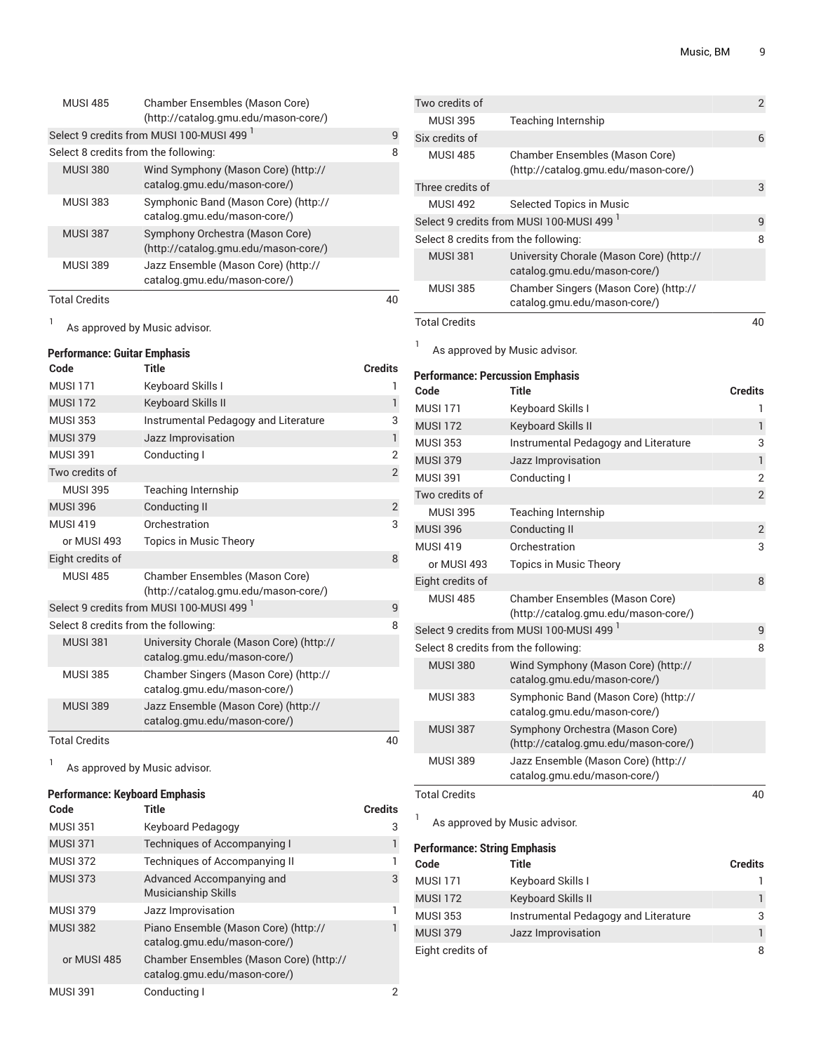| <b>Total Credits</b> |                                                                         |   |
|----------------------|-------------------------------------------------------------------------|---|
| <b>MUSI 389</b>      | Jazz Ensemble (Mason Core) (http://<br>catalog.gmu.edu/mason-core/)     |   |
| <b>MUSI 387</b>      | Symphony Orchestra (Mason Core)<br>(http://catalog.gmu.edu/mason-core/) |   |
| <b>MUSI 383</b>      | Symphonic Band (Mason Core) (http://<br>catalog.gmu.edu/mason-core/)    |   |
| <b>MUSI 380</b>      | Wind Symphony (Mason Core) (http://<br>catalog.gmu.edu/mason-core/)     |   |
|                      | Select 8 credits from the following:                                    | 8 |
|                      | Select 9 credits from MUSI 100-MUSI 499 <sup>1</sup>                    | q |
| <b>MUSI 485</b>      | Chamber Ensembles (Mason Core)<br>(http://catalog.gmu.edu/mason-core/)  |   |

1 As approved by Music advisor.

### **Performance: Guitar Emphasis**

| Code                                 | Title                                                                    | <b>Credits</b> |
|--------------------------------------|--------------------------------------------------------------------------|----------------|
| <b>MUSI 171</b>                      | Keyboard Skills I                                                        | 1              |
| <b>MUSI 172</b>                      | <b>Keyboard Skills II</b>                                                | $\mathbf{1}$   |
| <b>MUSI 353</b>                      | Instrumental Pedagogy and Literature                                     | 3              |
| <b>MUSI 379</b>                      | Jazz Improvisation                                                       | $\mathbf{1}$   |
| <b>MUSI 391</b>                      | Conducting I                                                             | $\overline{2}$ |
| Two credits of                       |                                                                          | $\overline{2}$ |
| <b>MUSI 395</b>                      | <b>Teaching Internship</b>                                               |                |
| <b>MUSI 396</b>                      | <b>Conducting II</b>                                                     | $\overline{2}$ |
| <b>MUSI 419</b>                      | Orchestration                                                            | 3              |
| or MUSI 493                          | <b>Topics in Music Theory</b>                                            |                |
| Eight credits of                     |                                                                          | 8              |
| <b>MUSI 485</b>                      | Chamber Ensembles (Mason Core)<br>(http://catalog.gmu.edu/mason-core/)   |                |
|                                      | Select 9 credits from MUSI 100-MUSI 499 <sup>1</sup>                     | 9              |
| Select 8 credits from the following: |                                                                          | 8              |
| <b>MUSI 381</b>                      | University Chorale (Mason Core) (http://<br>catalog.gmu.edu/mason-core/) |                |
| <b>MUSI 385</b>                      | Chamber Singers (Mason Core) (http://<br>catalog.gmu.edu/mason-core/)    |                |
| <b>MUSI 389</b>                      | Jazz Ensemble (Mason Core) (http://<br>catalog.gmu.edu/mason-core/)      |                |
| <b>Total Credits</b>                 |                                                                          | 40             |

1

As approved by Music advisor.

### **Performance: Keyboard Emphasis**

| Code            | Title                                                                   | <b>Credits</b> |
|-----------------|-------------------------------------------------------------------------|----------------|
| <b>MUSI 351</b> | Keyboard Pedagogy                                                       | 3              |
| <b>MUSI 371</b> | Techniques of Accompanying I                                            | 1              |
| <b>MUSI 372</b> | <b>Techniques of Accompanying II</b>                                    | 1              |
| <b>MUSI 373</b> | Advanced Accompanying and<br><b>Musicianship Skills</b>                 | 3              |
| <b>MUSI 379</b> | Jazz Improvisation                                                      |                |
| <b>MUSI 382</b> | Piano Ensemble (Mason Core) (http://<br>catalog.gmu.edu/mason-core/)    |                |
| or MUSI 485     | Chamber Ensembles (Mason Core) (http://<br>catalog.gmu.edu/mason-core/) |                |
| <b>MUSI 391</b> | Conducting I                                                            | 2              |

| Two credits of                       |                                                                          | $\overline{2}$ |
|--------------------------------------|--------------------------------------------------------------------------|----------------|
| <b>MUSI 395</b>                      | Teaching Internship                                                      |                |
| Six credits of                       |                                                                          | 6              |
| <b>MUSI 485</b>                      | Chamber Ensembles (Mason Core)<br>(http://catalog.gmu.edu/mason-core/)   |                |
| Three credits of                     |                                                                          | 3              |
| <b>MUSI 492</b>                      | Selected Topics in Music                                                 |                |
|                                      | Select 9 credits from MUSI 100-MUSI 499 <sup>1</sup>                     | q              |
| Select 8 credits from the following: |                                                                          | 8              |
| <b>MUSI 381</b>                      | University Chorale (Mason Core) (http://<br>catalog.gmu.edu/mason-core/) |                |
| <b>MUSI 385</b>                      | Chamber Singers (Mason Core) (http://<br>catalog.gmu.edu/mason-core/)    |                |
| <b>Total Credits</b>                 |                                                                          | 40             |

As approved by Music advisor.

1

### **Performance: Percussion Emphasis Code Title Credits** MUSI 171 Keyboard Skills I 1 MUSI 172 Keyboard Skills II 1 MUSI 353 Instrumental Pedagogy and Literature 3 MUSI 379 Jazz Improvisation 1 MUSI 391 Conducting I 2 Two credits of 2 MUSI 395 Teaching Internship MUSI 396 Conducting II 2 MUSI 419 Orchestration 3 or MUSI 493 Topics in Music Theory Eight credits of 8 MUSI 485 Chamber Ensembles [\(Mason](http://catalog.gmu.edu/mason-core/) Core) [\(http://catalog.gmu.edu/mason-core/](http://catalog.gmu.edu/mason-core/)) Select 9 credits from MUSI 100-MUSI 499 <sup>1</sup> 9 Select 8 credits from the following: 8 MUSI 380 Wind Symphony [\(Mason](http://catalog.gmu.edu/mason-core/) Core) [\(http://](http://catalog.gmu.edu/mason-core/) [catalog.gmu.edu/mason-core/\)](http://catalog.gmu.edu/mason-core/) MUSI 383 Symphonic Band [\(Mason](http://catalog.gmu.edu/mason-core/) Core) ([http://](http://catalog.gmu.edu/mason-core/) [catalog.gmu.edu/mason-core/\)](http://catalog.gmu.edu/mason-core/) MUSI 387 Symphony Orchestra [\(Mason](http://catalog.gmu.edu/mason-core/) Core) [\(http://catalog.gmu.edu/mason-core/](http://catalog.gmu.edu/mason-core/)) MUSI 389 Jazz Ensemble [\(Mason](http://catalog.gmu.edu/mason-core/) Core) [\(http://](http://catalog.gmu.edu/mason-core/) [catalog.gmu.edu/mason-core/\)](http://catalog.gmu.edu/mason-core/) Total Credits 40

1 As approved by Music advisor.

### **Performance: String Emphasis**

| Code             | Title                                | <b>Credits</b> |
|------------------|--------------------------------------|----------------|
| <b>MUSI 171</b>  | Keyboard Skills I                    |                |
| <b>MUSI 172</b>  | Keyboard Skills II                   |                |
| MUSI 353         | Instrumental Pedagogy and Literature | 3              |
| <b>MUSI 379</b>  | Jazz Improvisation                   |                |
| Eight credits of |                                      | 8              |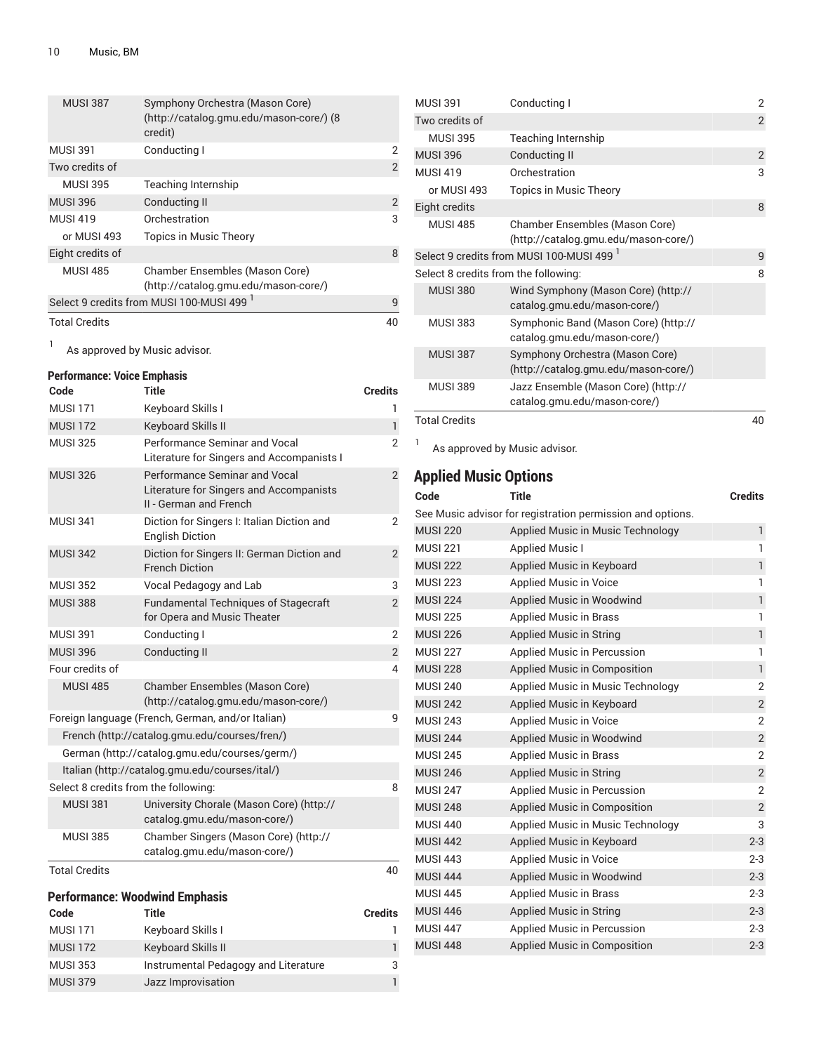| <b>MUSI 387</b>      | Symphony Orchestra (Mason Core)<br>(http://catalog.gmu.edu/mason-core/) (8<br>credit) |                |
|----------------------|---------------------------------------------------------------------------------------|----------------|
| <b>MUSI 391</b>      | Conducting I                                                                          | 2              |
| Two credits of       |                                                                                       | $\overline{2}$ |
| <b>MUSI 395</b>      | Teaching Internship                                                                   |                |
| <b>MUSI 396</b>      | Conducting II                                                                         | 2              |
| <b>MUSI 419</b>      | Orchestration                                                                         | 3              |
| or MUSI 493          | <b>Topics in Music Theory</b>                                                         |                |
| Eight credits of     |                                                                                       | 8              |
| <b>MUSI 485</b>      | Chamber Ensembles (Mason Core)<br>(http://catalog.gmu.edu/mason-core/)                |                |
|                      | Select 9 credits from MUSI 100-MUSI 499 <sup>1</sup>                                  | 9              |
| <b>Total Credits</b> |                                                                                       | 40             |
|                      | As approval by Music adviser                                                          |                |

As approved by Music advisor.

# **Performance: Voice Emphasis**

| Code                                 | Title                                                                                              | <b>Credits</b> |
|--------------------------------------|----------------------------------------------------------------------------------------------------|----------------|
| <b>MUSI 171</b>                      | Keyboard Skills I                                                                                  |                |
| <b>MUSI 172</b>                      | <b>Keyboard Skills II</b>                                                                          | $\mathbf{1}$   |
| <b>MUSI 325</b>                      | Performance Seminar and Vocal<br>Literature for Singers and Accompanists I                         | $\overline{2}$ |
| <b>MUSI 326</b>                      | Performance Seminar and Vocal<br>Literature for Singers and Accompanists<br>II - German and French | 2              |
| <b>MUSI 341</b>                      | Diction for Singers I: Italian Diction and<br><b>English Diction</b>                               | 2              |
| <b>MUSI 342</b>                      | Diction for Singers II: German Diction and<br><b>French Diction</b>                                | $\overline{2}$ |
| <b>MUSI 352</b>                      | Vocal Pedagogy and Lab                                                                             | 3              |
| <b>MUSI 388</b>                      | <b>Fundamental Techniques of Stagecraft</b><br>for Opera and Music Theater                         | $\overline{2}$ |
| <b>MUSI 391</b>                      | Conducting I                                                                                       | $\overline{2}$ |
| <b>MUSI 396</b>                      | <b>Conducting II</b>                                                                               | $\mathbf{2}$   |
| Four credits of                      |                                                                                                    | 4              |
| <b>MUSI 485</b>                      | Chamber Ensembles (Mason Core)<br>(http://catalog.gmu.edu/mason-core/)                             |                |
|                                      | Foreign language (French, German, and/or Italian)                                                  | 9              |
|                                      | French (http://catalog.gmu.edu/courses/fren/)                                                      |                |
|                                      | German (http://catalog.gmu.edu/courses/germ/)                                                      |                |
|                                      | Italian (http://catalog.gmu.edu/courses/ital/)                                                     |                |
| Select 8 credits from the following: |                                                                                                    | 8              |
| <b>MUSI 381</b>                      | University Chorale (Mason Core) (http://<br>catalog.gmu.edu/mason-core/)                           |                |
| <b>MUSI 385</b>                      | Chamber Singers (Mason Core) (http://<br>catalog.gmu.edu/mason-core/)                              |                |
| <b>Total Credits</b>                 |                                                                                                    | 40             |

# **Performance: Woodwind Emphasis**

| Code            | Title                                | <b>Credits</b> |
|-----------------|--------------------------------------|----------------|
| <b>MUSI 171</b> | Keyboard Skills I                    |                |
| <b>MUSI 172</b> | <b>Keyboard Skills II</b>            | 1              |
| <b>MUSI 353</b> | Instrumental Pedagogy and Literature | 3              |
| <b>MUSI 379</b> | Jazz Improvisation                   |                |
|                 |                                      |                |

| <b>MUSL391</b>                       | Conducting I                                                            |                |  |
|--------------------------------------|-------------------------------------------------------------------------|----------------|--|
| Two credits of                       |                                                                         | $\overline{2}$ |  |
| <b>MUSI 395</b>                      | Teaching Internship                                                     |                |  |
| <b>MUSI 396</b>                      | Conducting II                                                           | $\overline{2}$ |  |
| <b>MUSI 419</b>                      | Orchestration                                                           | 3              |  |
| or MUSI 493                          | Topics in Music Theory                                                  |                |  |
| Eight credits                        |                                                                         | 8              |  |
| <b>MUSI 485</b>                      | Chamber Ensembles (Mason Core)<br>(http://catalog.gmu.edu/mason-core/)  |                |  |
|                                      | Select 9 credits from MUSI 100-MUSI 499 <sup>1</sup>                    | 9              |  |
| Select 8 credits from the following: |                                                                         | 8              |  |
| <b>MUSI 380</b>                      | Wind Symphony (Mason Core) (http://<br>catalog.gmu.edu/mason-core/)     |                |  |
| MUSI 383                             | Symphonic Band (Mason Core) (http://<br>catalog.gmu.edu/mason-core/)    |                |  |
| <b>MUSI 387</b>                      | Symphony Orchestra (Mason Core)<br>(http://catalog.gmu.edu/mason-core/) |                |  |
| <b>MUSI 389</b>                      | Jazz Ensemble (Mason Core) (http://<br>catalog.gmu.edu/mason-core/)     |                |  |
| <b>Total Credits</b>                 |                                                                         | 40             |  |

<sup>1</sup> As approved by Music advisor.

# **Applied Music Options**

| Code            | Title                                                      | <b>Credits</b> |
|-----------------|------------------------------------------------------------|----------------|
|                 | See Music advisor for registration permission and options. |                |
| <b>MUSI 220</b> | Applied Music in Music Technology                          | $\mathbf{1}$   |
| <b>MUSI 221</b> | <b>Applied Music I</b>                                     | 1              |
| <b>MUSI 222</b> | Applied Music in Keyboard                                  | $\overline{1}$ |
| <b>MUSI 223</b> | <b>Applied Music in Voice</b>                              | 1              |
| <b>MUSI 224</b> | Applied Music in Woodwind                                  | $\overline{1}$ |
| <b>MUSI 225</b> | <b>Applied Music in Brass</b>                              | 1              |
| <b>MUSI 226</b> | <b>Applied Music in String</b>                             | $\overline{1}$ |
| <b>MUSI 227</b> | Applied Music in Percussion                                | 1              |
| <b>MUSI 228</b> | Applied Music in Composition                               | $\overline{1}$ |
| <b>MUSI 240</b> | Applied Music in Music Technology                          | $\overline{2}$ |
| <b>MUSI 242</b> | Applied Music in Keyboard                                  | $\overline{2}$ |
| <b>MUSI 243</b> | Applied Music in Voice                                     | $\overline{2}$ |
| <b>MUSI 244</b> | Applied Music in Woodwind                                  | $\overline{2}$ |
| <b>MUSI 245</b> | <b>Applied Music in Brass</b>                              | $\overline{2}$ |
| <b>MUSI 246</b> | <b>Applied Music in String</b>                             | $\overline{2}$ |
| <b>MUSI 247</b> | Applied Music in Percussion                                | $\overline{2}$ |
| <b>MUSI 248</b> | Applied Music in Composition                               | $\overline{2}$ |
| <b>MUSI 440</b> | Applied Music in Music Technology                          | 3              |
| <b>MUSI 442</b> | Applied Music in Keyboard                                  | $2 - 3$        |
| <b>MUSI 443</b> | Applied Music in Voice                                     | $2 - 3$        |
| <b>MUSI 444</b> | Applied Music in Woodwind                                  | $2 - 3$        |
| <b>MUSI 445</b> | <b>Applied Music in Brass</b>                              | $2 - 3$        |
| <b>MUSI 446</b> | <b>Applied Music in String</b>                             | $2 - 3$        |
| <b>MUSI 447</b> | Applied Music in Percussion                                | $2 - 3$        |
| <b>MUSI 448</b> | Applied Music in Composition                               | $2 - 3$        |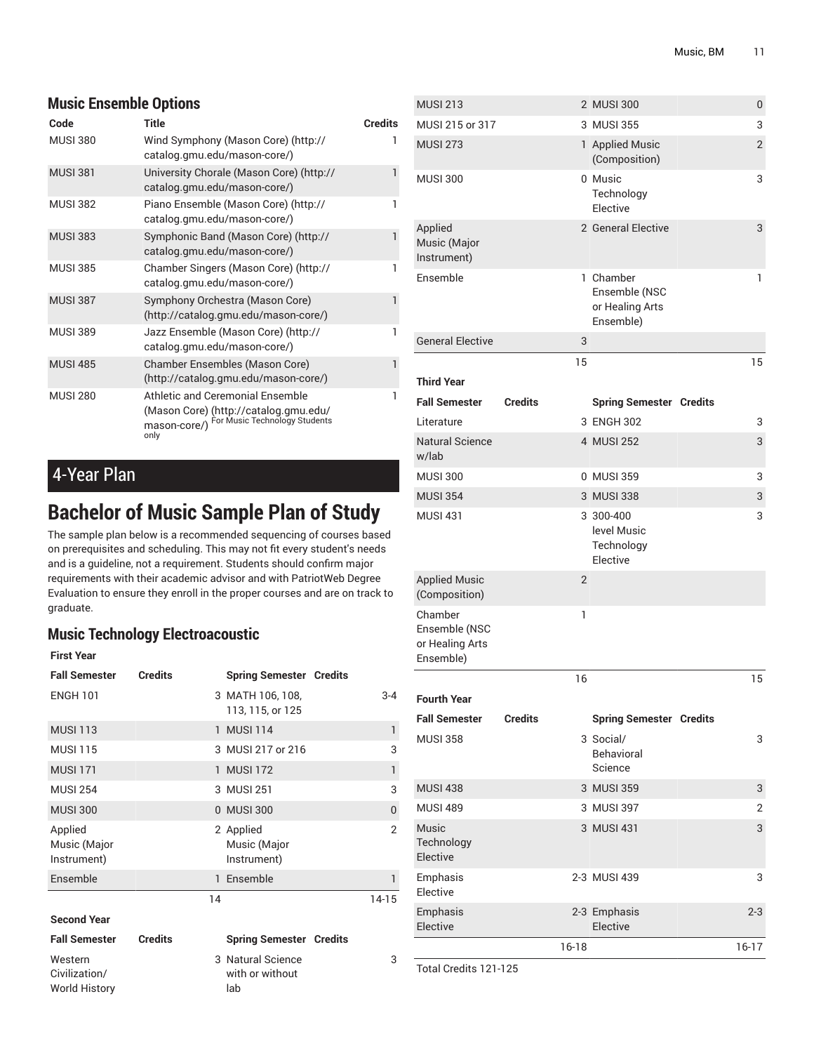# **Music Ensemble Options**

| Code            | <b>Title</b>                                                                                                                       | <b>Credits</b> |
|-----------------|------------------------------------------------------------------------------------------------------------------------------------|----------------|
| <b>MUSI 380</b> | Wind Symphony (Mason Core) (http://<br>catalog.gmu.edu/mason-core/)                                                                | 1              |
| <b>MUSI 381</b> | University Chorale (Mason Core) (http://<br>catalog.gmu.edu/mason-core/)                                                           | 1              |
| <b>MUSI 382</b> | Piano Ensemble (Mason Core) (http://<br>catalog.gmu.edu/mason-core/)                                                               | 1              |
| <b>MUSI 383</b> | Symphonic Band (Mason Core) (http://<br>catalog.gmu.edu/mason-core/)                                                               | 1              |
| <b>MUSI 385</b> | Chamber Singers (Mason Core) (http://<br>catalog.gmu.edu/mason-core/)                                                              | 1              |
| <b>MUSI 387</b> | Symphony Orchestra (Mason Core)<br>(http://catalog.gmu.edu/mason-core/)                                                            | 1              |
| <b>MUSI 389</b> | Jazz Ensemble (Mason Core) (http://<br>catalog.gmu.edu/mason-core/)                                                                | 1              |
| <b>MUSI 485</b> | Chamber Ensembles (Mason Core)<br>(http://catalog.gmu.edu/mason-core/)                                                             | 1              |
| <b>MUSI 280</b> | Athletic and Ceremonial Ensemble<br>(Mason Core) (http://catalog.gmu.edu/<br>For Music Technology Students<br>mason-core/)<br>only | 1              |

4-Year Plan

Civilization/ World History

# **Bachelor of Music Sample Plan of Study**

The sample plan below is a recommended sequencing of courses based on prerequisites and scheduling. This may not fit every student's needs and is a guideline, not a requirement. Students should confirm major requirements with their academic advisor and with PatriotWeb Degree Evaluation to ensure they enroll in the proper courses and are on track to graduate.

# **Music Technology Electroacoustic**

| <b>First Year</b>                      |                |    |                                          |                |
|----------------------------------------|----------------|----|------------------------------------------|----------------|
| <b>Fall Semester</b>                   | <b>Credits</b> |    | <b>Spring Semester Credits</b>           |                |
| <b>ENGH 101</b>                        |                |    | 3 MATH 106, 108,<br>113, 115, or 125     | $3 - 4$        |
| <b>MUSI 113</b>                        |                |    | 1 MUSI 114                               | $\mathbf{1}$   |
| <b>MUSI 115</b>                        |                |    | 3 MUSI 217 or 216                        | 3              |
| <b>MUSI 171</b>                        |                |    | 1 MUSI 172                               | $\mathbf{1}$   |
| <b>MUSI 254</b>                        |                |    | 3 MUSI 251                               | 3              |
| <b>MUSI 300</b>                        |                |    | 0 MUSI 300                               | $\Omega$       |
| Applied<br>Music (Major<br>Instrument) |                |    | 2 Applied<br>Music (Major<br>Instrument) | $\overline{2}$ |
| Ensemble                               |                |    | 1 Ensemble                               | 1              |
|                                        |                | 14 |                                          | $14-15$        |
| <b>Second Year</b>                     |                |    |                                          |                |
| <b>Fall Semester</b>                   | <b>Credits</b> |    | <b>Spring Semester Credits</b>           |                |
| Western                                |                |    | 3 Natural Science                        | 3              |

|       | 1 Ensemble                                  |         |  |
|-------|---------------------------------------------|---------|--|
|       | 14                                          | $14-15$ |  |
| edits | <b>Spring Semester Credits</b>              |         |  |
|       | 3 Natural Science<br>with or without<br>lab | 3       |  |

| <b>MUSI 213</b>                                          |                |                | 2 MUSI 300                                                 | 0              |
|----------------------------------------------------------|----------------|----------------|------------------------------------------------------------|----------------|
| MUSI 215 or 317                                          |                |                | 3 MUSI 355                                                 | 3              |
| <b>MUSI 273</b>                                          |                |                | 1 Applied Music<br>(Composition)                           | $\overline{2}$ |
| <b>MUSI 300</b>                                          |                |                | 0 Music<br>Technology<br>Elective                          | 3              |
| Applied<br>Music (Major<br>Instrument)                   |                |                | 2 General Elective                                         | 3              |
| <b>Fnsemble</b>                                          |                |                | 1 Chamber<br>Ensemble (NSC<br>or Healing Arts<br>Ensemble) | $\mathbf{1}$   |
| <b>General Elective</b>                                  |                | 3              |                                                            |                |
| <b>Third Year</b>                                        |                | 15             |                                                            | 15             |
| <b>Fall Semester</b>                                     | <b>Credits</b> |                | <b>Spring Semester Credits</b>                             |                |
| Literature                                               |                |                | 3 ENGH 302                                                 | 3              |
| <b>Natural Science</b><br>w/lab                          |                |                | 4 MUSI 252                                                 | 3              |
| <b>MUSI 300</b>                                          |                |                | 0 MUSI 359                                                 | 3              |
| <b>MUSI 354</b>                                          |                |                | 3 MUSI 338                                                 | 3              |
| <b>MUSI 431</b>                                          |                |                | 3 300-400<br>level Music<br>Technology<br>Elective         | 3              |
| <b>Applied Music</b><br>(Composition)                    |                | $\overline{2}$ |                                                            |                |
| Chamber<br>Ensemble (NSC<br>or Healing Arts<br>Ensemble) |                | 1              |                                                            |                |
|                                                          |                | 16             |                                                            | 15             |
| <b>Fourth Year</b>                                       |                |                |                                                            |                |
| <b>Fall Semester</b>                                     | <b>Credits</b> |                | <b>Spring Semester Credits</b>                             |                |
| <b>MUSI 358</b>                                          |                |                | 3 Social/<br><b>Behavioral</b><br>Science                  | 3              |
| <b>MUSI 438</b>                                          |                |                | 3 MUSI 359                                                 | 3              |
| <b>MUSI 489</b>                                          |                |                | 3 MUSI 397                                                 | 2              |
| Music<br>Technology<br>Elective                          |                |                | 3 MUSI 431                                                 | 3              |
| Emphasis<br>Elective                                     |                |                | 2-3 MUSI 439                                               | 3              |
| Emphasis<br>Elective                                     |                |                | 2-3 Emphasis<br>Elective                                   | $2 - 3$        |
|                                                          |                | $16 - 18$      |                                                            | $16-17$        |

Total Credits 121-125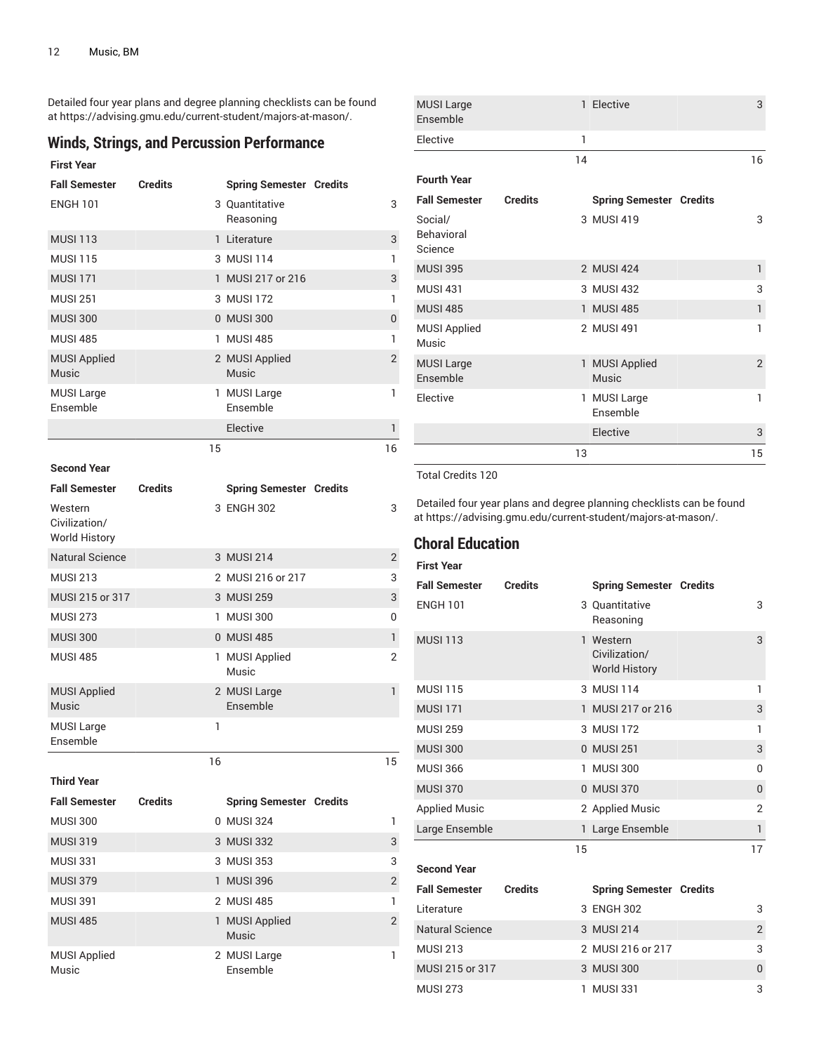Detailed four year plans and degree planning checklists can be found at [https://advising.gmu.edu/current-student/majors-at-mason/.](https://advising.gmu.edu/current-student/majors-at-mason/)

# **Winds, Strings, and Percussion Performance**

### **First Year**

| <b>Fall Semester</b>                | <b>Credits</b> |    | <b>Spring Semester Credits</b> |                |
|-------------------------------------|----------------|----|--------------------------------|----------------|
| <b>ENGH 101</b>                     |                |    | 3 Quantitative<br>Reasoning    | 3              |
| <b>MUSI 113</b>                     |                |    | 1 Literature                   | 3              |
| <b>MUSI 115</b>                     |                |    | 3 MUSI 114                     | 1              |
| <b>MUSI 171</b>                     |                |    | 1 MUSI 217 or 216              | 3              |
| <b>MUSI 251</b>                     |                |    | 3 MUSI 172                     | $\mathbf{1}$   |
| <b>MUSI 300</b>                     |                |    | 0 MUSI 300                     | $\theta$       |
| <b>MUSI 485</b>                     |                |    | 1 MUSI 485                     | 1              |
| <b>MUSI Applied</b><br><b>Music</b> |                |    | 2 MUSI Applied<br><b>Music</b> | $\overline{2}$ |
| <b>MUSI Large</b><br>Ensemble       |                |    | 1 MUSI Large<br>Ensemble       | 1              |
|                                     |                |    | Elective                       | 1              |
|                                     |                | 15 |                                | 16             |

### **Second Year**

MUSI Applied Music

| <b>Fall Semester</b>                             | <b>Credits</b> |    | <b>Spring Semester Credits</b> |                |
|--------------------------------------------------|----------------|----|--------------------------------|----------------|
| Western<br>Civilization/<br><b>World History</b> |                |    | 3 ENGH 302                     | 3              |
| <b>Natural Science</b>                           |                |    | 3 MUSI 214                     | $\overline{2}$ |
| <b>MUSI 213</b>                                  |                |    | 2 MUSI 216 or 217              | 3              |
| MUSI 215 or 317                                  |                |    | 3 MUSI 259                     | 3              |
| <b>MUSI 273</b>                                  |                |    | 1 MUSI 300                     | 0              |
| <b>MUSI 300</b>                                  |                |    | 0 MUSI 485                     | $\mathbf{1}$   |
| <b>MUSI 485</b>                                  |                |    | 1 MUSI Applied<br>Music        | $\overline{2}$ |
| <b>MUSI Applied</b><br>Music                     |                |    | 2 MUSI Large<br>Ensemble       | $\mathbf{1}$   |
| <b>MUSI Large</b><br>Ensemble                    |                | 1  |                                |                |
|                                                  |                | 16 |                                | 15             |
| <b>Third Year</b>                                |                |    |                                |                |
| <b>Fall Semester</b>                             | <b>Credits</b> |    | <b>Spring Semester Credits</b> |                |
| <b>MUSI 300</b>                                  |                |    | 0 MUSI 324                     | 1              |
| <b>MUSI 319</b>                                  |                |    | 3 MUSI 332                     | 3              |
| <b>MUSI 331</b>                                  |                |    | 3 MUSI 353                     | 3              |
| <b>MUSI 379</b>                                  |                |    | 1 MUSI 396                     | $\overline{2}$ |
| <b>MUSI 391</b>                                  |                |    | 2 MUSI 485                     | 1              |
| <b>MUSI 485</b>                                  |                |    | 1 MUSI Applied<br><b>Music</b> | $\overline{2}$ |

2 MUSI Large Ensemble

1

|                | 1  |                               |                                                                                      |                                |
|----------------|----|-------------------------------|--------------------------------------------------------------------------------------|--------------------------------|
|                | 14 |                               |                                                                                      | 16                             |
|                |    |                               |                                                                                      |                                |
| <b>Credits</b> |    |                               |                                                                                      |                                |
|                |    |                               |                                                                                      | 3                              |
|                |    |                               |                                                                                      | 1                              |
|                |    |                               |                                                                                      | 3                              |
|                |    |                               |                                                                                      | $\mathbf{1}$                   |
|                |    |                               |                                                                                      | 1                              |
|                |    | <b>Music</b>                  |                                                                                      | $\overline{2}$                 |
|                | 1  | <b>MUSI Large</b><br>Ensemble |                                                                                      | 1                              |
|                |    | Elective                      |                                                                                      | 3                              |
|                | 13 |                               |                                                                                      | 15                             |
|                |    |                               | 3 MUSI 419<br>2 MUSI 424<br>3 MUSI 432<br>1 MUSI 485<br>2 MUSI 491<br>1 MUSI Applied | <b>Spring Semester Credits</b> |

1 Elective 3

### Total Credits 120

MUSI Large

Detailed four year plans and degree planning checklists can be found at <https://advising.gmu.edu/current-student/majors-at-mason/>.

# **Choral Education**

# **First Year Fall Semester Credits Spring Semester Credits** ENGH 101 3 Quantitative Reasoning 3 MUSI 113 1 Western Civilization/ World History 3 MUSI 115 3 MUSI 114 1 MUSI 171 1 MUSI 217 or 216 3 MUSI 259 3 MUSI 172 1 MUSI 300 0 MUSI 251 33 MUSI 366 1 MUSI 300 0 MUSI 370 0 MUSI 370 0 Applied Music 2 2 2 Applied Music 2 Large Ensemble 1 Large Ensemble 1 15 17 **Second Year Fall Semester Credits Spring Semester Credits** Literature 3 ENGH 302 3 Natural Science 3 MUSI 214 2

MUSI 213 2 MUSI 216 or 217 3 MUSI 215 or 317 3 MUSI 300 0 MUSI 273 1 MUSI 331 3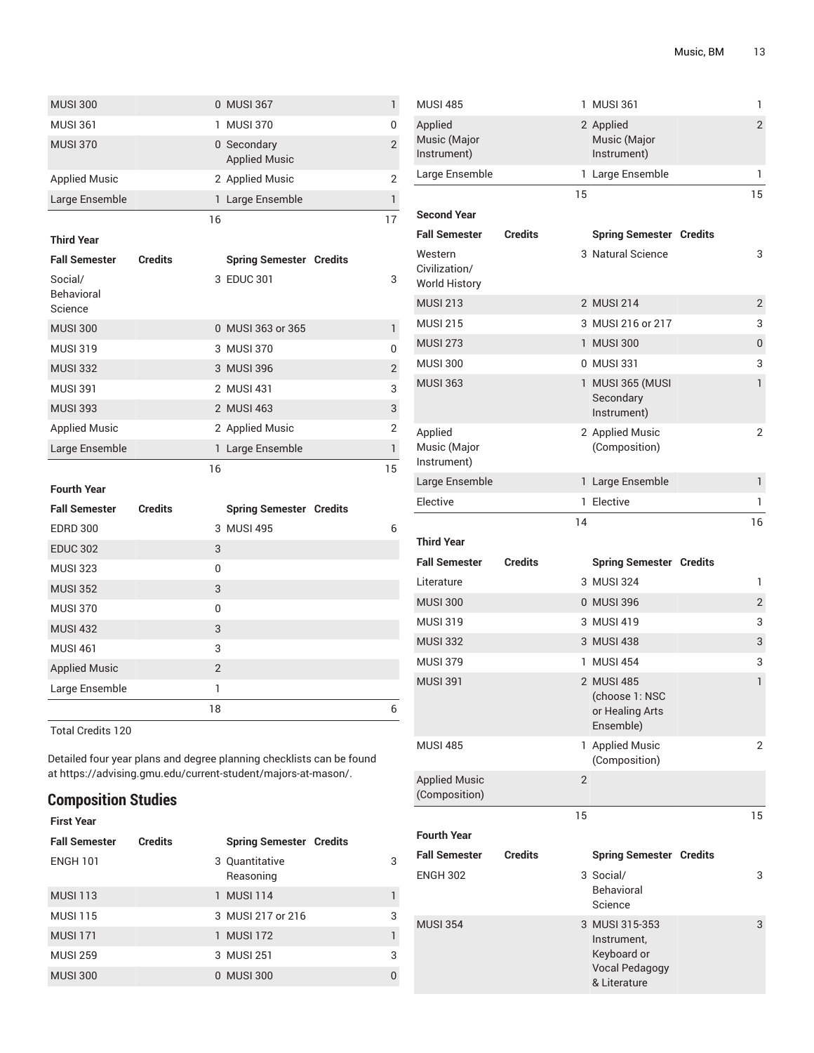| <b>MUSI 300</b>                         |                |                | 0 MUSI 367                          | 1              |
|-----------------------------------------|----------------|----------------|-------------------------------------|----------------|
| <b>MUSI 361</b>                         |                |                | 1 MUSI 370                          | 0              |
| <b>MUSI 370</b>                         |                |                | 0 Secondary<br><b>Applied Music</b> | $\overline{2}$ |
| <b>Applied Music</b>                    |                |                | 2 Applied Music                     | $\overline{2}$ |
| Large Ensemble                          |                |                | 1 Large Ensemble                    | 1              |
|                                         |                | 16             |                                     | 17             |
| <b>Third Year</b>                       |                |                |                                     |                |
| <b>Fall Semester</b>                    | <b>Credits</b> |                | <b>Spring Semester Credits</b>      |                |
| Social/<br><b>Behavioral</b><br>Science |                |                | 3 EDUC 301                          | 3              |
| <b>MUSI 300</b>                         |                |                | 0 MUSI 363 or 365                   | 1              |
| <b>MUSI 319</b>                         |                |                | 3 MUSI 370                          | 0              |
| <b>MUSI 332</b>                         |                |                | 3 MUSI 396                          | $\overline{2}$ |
| <b>MUSI 391</b>                         |                |                | 2 MUSI 431                          | 3              |
| <b>MUSI 393</b>                         |                |                | 2 MUSI 463                          | 3              |
| <b>Applied Music</b>                    |                |                | 2 Applied Music                     | $\overline{2}$ |
| Large Ensemble                          |                |                | 1 Large Ensemble                    | 1              |
|                                         |                | 16             |                                     | 15             |
| <b>Fourth Year</b>                      |                |                |                                     |                |
| <b>Fall Semester</b>                    | <b>Credits</b> |                | <b>Spring Semester Credits</b>      |                |
| <b>EDRD 300</b>                         |                |                | 3 MUSI 495                          | 6              |
| <b>EDUC 302</b>                         |                | 3              |                                     |                |
| <b>MUSI 323</b>                         |                | 0              |                                     |                |
| <b>MUSI 352</b>                         |                | 3              |                                     |                |
| <b>MUSI 370</b>                         |                | 0              |                                     |                |
| <b>MUSI 432</b>                         |                | 3              |                                     |                |
| <b>MUSI 461</b>                         |                | 3              |                                     |                |
| <b>Applied Music</b>                    |                | $\overline{2}$ |                                     |                |
| Large Ensemble                          |                | 1              |                                     |                |
|                                         |                | 18             |                                     | 6              |

Detailed four year plans and degree planning checklists can be found at [https://advising.gmu.edu/current-student/majors-at-mason/.](https://advising.gmu.edu/current-student/majors-at-mason/)

# **Composition Studies**

| <b>First Year</b>    |                |                                |              |
|----------------------|----------------|--------------------------------|--------------|
| <b>Fall Semester</b> | <b>Credits</b> | <b>Spring Semester Credits</b> |              |
| <b>ENGH 101</b>      |                | 3 Quantitative<br>Reasoning    | 3            |
| <b>MUSI 113</b>      |                | 1 MUSI 114                     | ı            |
| <b>MUSI 115</b>      |                | 3 MUSI 217 or 216              | 3            |
| <b>MUSI 171</b>      |                | 1 MUSI 172                     | $\mathbf{1}$ |
| <b>MUSI 259</b>      |                | 3 MUSI 251                     | 3            |
| <b>MUSI 300</b>      |                | 0 MUSI 300                     | $\theta$     |

| <b>MUSI 485</b>                                  |                | 1              | <b>MUSI 361</b>                                                                       | 1              |
|--------------------------------------------------|----------------|----------------|---------------------------------------------------------------------------------------|----------------|
| Applied<br>Music (Major<br>Instrument)           |                |                | 2 Applied<br>Music (Major<br>Instrument)                                              | $\overline{2}$ |
| Large Ensemble                                   |                |                | 1 Large Ensemble                                                                      | 1              |
|                                                  |                | 15             |                                                                                       | 15             |
| <b>Second Year</b>                               |                |                |                                                                                       |                |
| <b>Fall Semester</b>                             | <b>Credits</b> |                | <b>Spring Semester Credits</b>                                                        |                |
| Western<br>Civilization/<br><b>World History</b> |                |                | 3 Natural Science                                                                     | 3              |
| <b>MUSI 213</b>                                  |                |                | 2 MUSI 214                                                                            | $\overline{2}$ |
| <b>MUSI 215</b>                                  |                |                | 3 MUSI 216 or 217                                                                     | 3              |
| <b>MUSI 273</b>                                  |                |                | 1 MUSI 300                                                                            | 0              |
| <b>MUSI 300</b>                                  |                |                | 0 MUSI 331                                                                            | 3              |
| <b>MUSI 363</b>                                  |                |                | 1 MUSI 365 (MUSI<br>Secondary<br>Instrument)                                          | 1              |
| Applied<br>Music (Major<br>Instrument)           |                |                | 2 Applied Music<br>(Composition)                                                      | $\overline{2}$ |
| Large Ensemble                                   |                |                | 1 Large Ensemble                                                                      | 1              |
| Elective                                         |                |                | 1 Elective                                                                            | 1              |
|                                                  |                | 14             |                                                                                       | 16             |
| <b>Third Year</b>                                |                |                |                                                                                       |                |
|                                                  |                |                | <b>Spring Semester Credits</b>                                                        |                |
| Fall Semester                                    | <b>Credits</b> |                |                                                                                       |                |
| Literature                                       |                |                | 3 MUSI 324                                                                            | 1              |
| <b>MUSI 300</b>                                  |                |                | 0 MUSI 396                                                                            | $\overline{2}$ |
| <b>MUSI 319</b>                                  |                |                | 3 MUSI 419                                                                            | 3              |
| <b>MUSI 332</b>                                  |                |                | 3 MUSI 438                                                                            | 3              |
| <b>MUSI 379</b>                                  |                |                | 1 MUSI 454                                                                            | 3              |
| <b>MUSI 391</b>                                  |                |                | 2 MUSI 485<br>(choose 1: NSC<br>or Healing Arts<br>Ensemble)                          | 1              |
| <b>MUSI 485</b>                                  |                |                | 1 Applied Music<br>(Composition)                                                      | 2              |
| <b>Applied Music</b><br>(Composition)            |                | $\overline{2}$ |                                                                                       |                |
|                                                  |                | 15             |                                                                                       | 15             |
| <b>Fourth Year</b>                               |                |                |                                                                                       |                |
| <b>Fall Semester</b>                             | <b>Credits</b> |                | <b>Spring Semester Credits</b>                                                        |                |
| <b>ENGH 302</b>                                  |                |                | 3 Social/<br><b>Behavioral</b><br>Science                                             | 3              |
| <b>MUSI 354</b>                                  |                |                | 3 MUSI 315-353<br>Instrument,<br>Keyboard or<br><b>Vocal Pedagogy</b><br>& Literature | 3              |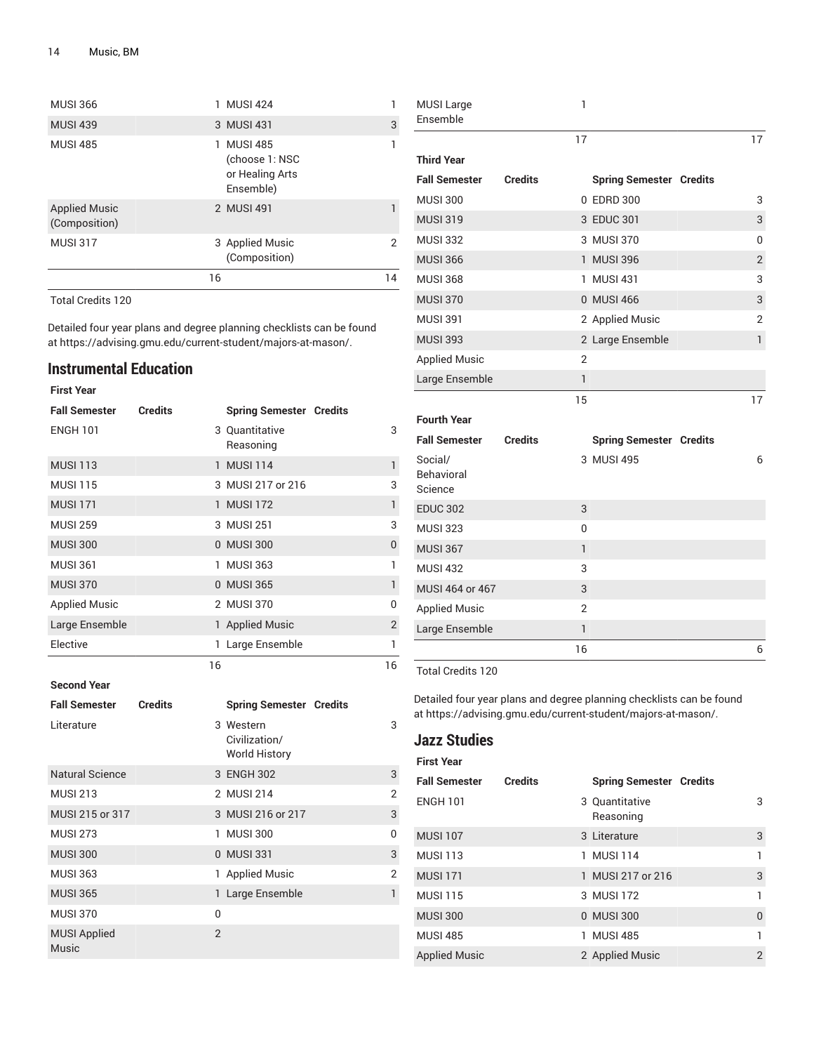| <b>MUSI 366</b>                       | <b>MUSI 424</b>                                              |    |
|---------------------------------------|--------------------------------------------------------------|----|
| <b>MUSI 439</b>                       | 3 MUSI 431                                                   | 3  |
| <b>MUSI 485</b>                       | 1 MUSI 485<br>(choose 1: NSC<br>or Healing Arts<br>Ensemble) |    |
| <b>Applied Music</b><br>(Composition) | 2 MUSI 491                                                   |    |
| <b>MUSI 317</b>                       | 3 Applied Music<br>(Composition)                             | 2  |
|                                       | 16                                                           | 14 |

Detailed four year plans and degree planning checklists can be found at [https://advising.gmu.edu/current-student/majors-at-mason/.](https://advising.gmu.edu/current-student/majors-at-mason/)

## **Instrumental Education**

| <b>First Year</b>    |                |    |                                |                |
|----------------------|----------------|----|--------------------------------|----------------|
| <b>Fall Semester</b> | <b>Credits</b> |    | <b>Spring Semester Credits</b> |                |
| <b>ENGH 101</b>      |                |    | 3 Quantitative<br>Reasoning    | 3              |
| <b>MUSI 113</b>      |                |    | 1 MUSI 114                     | 1              |
| <b>MUSI 115</b>      |                |    | 3 MUSI 217 or 216              | 3              |
| <b>MUSI 171</b>      |                |    | 1 MUSI 172                     | 1              |
| <b>MUSI 259</b>      |                |    | 3 MUSI 251                     | 3              |
| <b>MUSI 300</b>      |                |    | 0 MUSI 300                     | 0              |
| <b>MUSI 361</b>      |                |    | 1 MUSI 363                     | 1              |
| <b>MUSI 370</b>      |                |    | 0 MUSI 365                     | 1              |
| <b>Applied Music</b> |                |    | 2 MUSI 370                     | U              |
| Large Ensemble       |                |    | 1 Applied Music                | $\overline{2}$ |
| Elective             |                |    | 1 Large Ensemble               | 1              |
|                      |                | 16 |                                | 16             |

**Second Year**

| <b>Fall Semester</b>         | <b>Credits</b> |                | <b>Spring Semester Credits</b>                     |                |
|------------------------------|----------------|----------------|----------------------------------------------------|----------------|
| Literature                   |                |                | 3 Western<br>Civilization/<br><b>World History</b> | 3              |
| <b>Natural Science</b>       |                |                | 3 ENGH 302                                         | 3              |
| <b>MUSI 213</b>              |                |                | 2 MUSI 214                                         | $\mathfrak{p}$ |
| MUSI 215 or 317              |                |                | 3 MUSI 216 or 217                                  | 3              |
| <b>MUSI 273</b>              |                |                | 1 MUSI 300                                         | 0              |
| <b>MUSI 300</b>              |                |                | 0 MUSI 331                                         | 3              |
| <b>MUSI 363</b>              |                |                | 1 Applied Music                                    | $\overline{2}$ |
| <b>MUSI 365</b>              |                |                | 1 Large Ensemble                                   | 1              |
| <b>MUSI 370</b>              |                | $\Omega$       |                                                    |                |
| <b>MUSI Applied</b><br>Music |                | $\mathfrak{p}$ |                                                    |                |

| MUSI Large<br>Ensemble                  |                | 1            |                                |                |
|-----------------------------------------|----------------|--------------|--------------------------------|----------------|
|                                         |                | 17           |                                | 17             |
| <b>Third Year</b>                       |                |              |                                |                |
| <b>Fall Semester</b>                    | <b>Credits</b> |              | <b>Spring Semester Credits</b> |                |
| <b>MUSI 300</b>                         |                |              | 0 EDRD 300                     | 3              |
| <b>MUSI 319</b>                         |                |              | 3 EDUC 301                     | 3              |
| <b>MUSI 332</b>                         |                |              | 3 MUSI 370                     | 0              |
| <b>MUSI 366</b>                         |                |              | 1 MUSI 396                     | $\overline{2}$ |
| <b>MUSI 368</b>                         |                |              | 1 MUSI 431                     | 3              |
| <b>MUSI 370</b>                         |                |              | 0 MUSI 466                     | 3              |
| <b>MUSI 391</b>                         |                |              | 2 Applied Music                | 2              |
| <b>MUSI 393</b>                         |                |              | 2 Large Ensemble               | $\mathbf{1}$   |
| <b>Applied Music</b>                    |                | 2            |                                |                |
| Large Ensemble                          |                | $\mathsf{I}$ |                                |                |
|                                         |                | 15           |                                | 17             |
| <b>Fourth Year</b>                      |                |              |                                |                |
| <b>Fall Semester</b>                    | <b>Credits</b> |              | <b>Spring Semester Credits</b> |                |
| Social/<br><b>Behavioral</b><br>Science |                |              | 3 MUSI 495                     | 6              |
| <b>EDUC 302</b>                         |                | 3            |                                |                |
| <b>MUSI 323</b>                         |                | 0            |                                |                |
| <b>MUSI 367</b>                         |                | $\mathbf{1}$ |                                |                |
| <b>MUSI 432</b>                         |                | 3            |                                |                |
| MUSI 464 or 467                         |                | 3            |                                |                |
| <b>Applied Music</b>                    |                | 2            |                                |                |
| Large Ensemble                          |                | 1            |                                |                |
|                                         |                | 16           |                                | 6              |

Total Credits 120

Detailed four year plans and degree planning checklists can be found at <https://advising.gmu.edu/current-student/majors-at-mason/>.

# **Jazz Studies**

**First Year**

| <b>Fall Semester</b> | <b>Credits</b> | <b>Spring Semester Credits</b> |          |
|----------------------|----------------|--------------------------------|----------|
| <b>ENGH 101</b>      |                | 3 Quantitative<br>Reasoning    | 3        |
| <b>MUSI 107</b>      |                | 3 Literature                   | 3        |
| <b>MUSI 113</b>      |                | 1 MUSI 114                     | 1        |
| <b>MUSI 171</b>      |                | 1 MUSI 217 or 216              | 3        |
| <b>MUSI 115</b>      |                | 3 MUSI 172                     | 1        |
| <b>MUSI 300</b>      |                | 0 MUSI 300                     | $\Omega$ |
| <b>MUSI 485</b>      |                | 1 MUSI 485                     | 1        |
| <b>Applied Music</b> |                | 2 Applied Music                | 2        |
|                      |                |                                |          |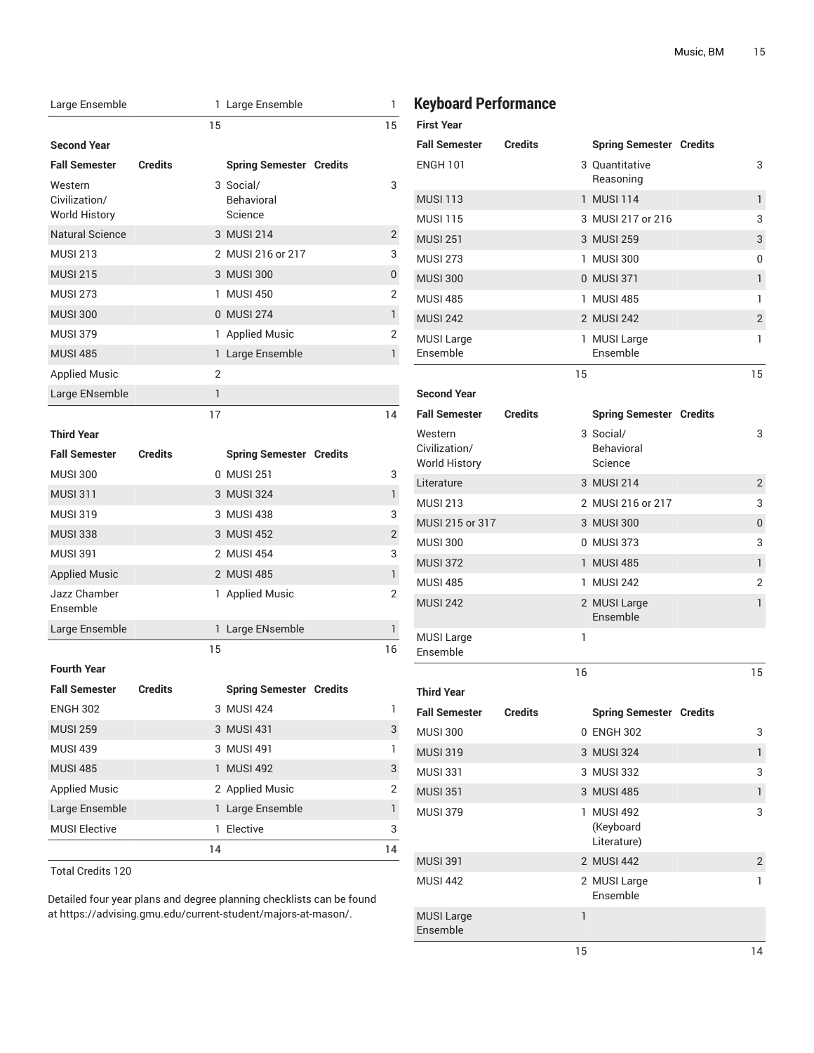| Large Ensemble                                   |                |    | 1 Large Ensemble                          | 1              |
|--------------------------------------------------|----------------|----|-------------------------------------------|----------------|
|                                                  |                | 15 |                                           | 15             |
| <b>Second Year</b>                               |                |    |                                           |                |
| <b>Fall Semester</b>                             | <b>Credits</b> |    | <b>Spring Semester Credits</b>            |                |
| Western<br>Civilization/<br><b>World History</b> |                |    | 3 Social/<br><b>Behavioral</b><br>Science | 3              |
| <b>Natural Science</b>                           |                |    | 3 MUSI 214                                | 2              |
| <b>MUSI 213</b>                                  |                |    | 2 MUSI 216 or 217                         | 3              |
| <b>MUSI 215</b>                                  |                |    | 3 MUSI 300                                | 0              |
| <b>MUSI 273</b>                                  |                |    | 1 MUSI 450                                | 2              |
| <b>MUSI 300</b>                                  |                |    | 0 MUSI 274                                | 1              |
| <b>MUSI 379</b>                                  |                |    | 1 Applied Music                           | 2              |
| <b>MUSI 485</b>                                  |                |    | 1 Large Ensemble                          | 1              |
| <b>Applied Music</b>                             |                | 2  |                                           |                |
| Large ENsemble                                   |                | 1  |                                           |                |
|                                                  |                | 17 |                                           | 14             |
| <b>Third Year</b>                                |                |    |                                           |                |
| <b>Fall Semester</b>                             | <b>Credits</b> |    | <b>Spring Semester Credits</b>            |                |
| <b>MUSI 300</b>                                  |                |    | 0 MUSI 251                                | 3              |
| <b>MUSI 311</b>                                  |                |    | 3 MUSI 324                                | 1              |
| <b>MUSI 319</b>                                  |                |    | 3 MUSI 438                                | 3              |
| <b>MUSI 338</b>                                  |                |    | 3 MUSI 452                                | $\overline{2}$ |
| <b>MUSI 391</b>                                  |                |    | 2 MUSI 454                                | 3              |
| <b>Applied Music</b>                             |                |    | 2 MUSI 485                                | 1              |
| Jazz Chamber<br>Ensemble                         |                |    | 1 Applied Music                           | 2              |
| Large Ensemble                                   |                |    | 1 Large ENsemble                          | 1              |
| <b>Fourth Year</b>                               |                | 15 |                                           | 16             |
| <b>Fall Semester</b>                             | <b>Credits</b> |    | <b>Spring Semester Credits</b>            |                |
| <b>ENGH 302</b>                                  |                |    | 3 MUSI 424                                | 1              |
| <b>MUSI 259</b>                                  |                |    | 3 MUSI 431                                | 3              |
| <b>MUSI 439</b>                                  |                |    | 3 MUSI 491                                | 1              |
| <b>MUSI 485</b>                                  |                |    | 1 MUSI 492                                | 3              |
| <b>Applied Music</b>                             |                |    | 2 Applied Music                           | 2              |
| Large Ensemble                                   |                |    | 1 Large Ensemble                          | 1              |
| <b>MUSI Elective</b>                             |                |    | 1 Elective                                | 3              |
|                                                  |                | 14 |                                           | 14             |
| <b>Total Credits 120</b>                         |                |    |                                           |                |

Detailed four year plans and degree planning checklists can be found at [https://advising.gmu.edu/current-student/majors-at-mason/.](https://advising.gmu.edu/current-student/majors-at-mason/)

# **Keyboard Performance**

| <b>First Year</b>                                |                |    |                                             |                |
|--------------------------------------------------|----------------|----|---------------------------------------------|----------------|
| <b>Fall Semester</b>                             | <b>Credits</b> |    | <b>Spring Semester Credits</b>              |                |
| <b>ENGH 101</b>                                  |                |    | 3 Quantitative<br>Reasoning                 | 3              |
| <b>MUSI 113</b>                                  |                |    | 1 MUSI 114                                  | 1              |
| <b>MUSI 115</b>                                  |                |    | 3 MUSI 217 or 216                           | 3              |
| <b>MUSI 251</b>                                  |                |    | 3 MUSI 259                                  | 3              |
| <b>MUSI 273</b>                                  |                |    | 1 MUSI 300                                  | 0              |
| <b>MUSI 300</b>                                  |                |    | 0 MUSI 371                                  | 1              |
| <b>MUSI 485</b>                                  |                |    | 1 MUSI 485                                  | 1              |
| <b>MUSI 242</b>                                  |                |    | 2 MUSI 242                                  | $\overline{2}$ |
| <b>MUSI Large</b><br>Ensemble                    |                |    | 1 MUSI Large<br>Ensemble                    | 1              |
|                                                  |                | 15 |                                             | 15             |
| <b>Second Year</b>                               |                |    |                                             |                |
| <b>Fall Semester</b>                             | <b>Credits</b> |    | <b>Spring Semester Credits</b>              |                |
| Western<br>Civilization/<br><b>World History</b> |                |    | 3 Social/<br><b>Behavioral</b><br>Science   | 3              |
| Literature                                       |                |    | 3 MUSI 214                                  | 2              |
| <b>MUSI 213</b>                                  |                |    | 2 MUSI 216 or 217                           | 3              |
| MUSI 215 or 317                                  |                |    | 3 MUSI 300                                  | 0              |
| <b>MUSI 300</b>                                  |                |    | 0 MUSI 373                                  | 3              |
| <b>MUSI 372</b>                                  |                |    | 1 MUSI 485                                  | 1              |
| <b>MUSI 485</b>                                  |                |    | 1 MUSI 242                                  | 2              |
| <b>MUSI 242</b>                                  |                |    | 2 MUSI Large<br>Ensemble                    | 1              |
| <b>MUSI Large</b><br>Ensemble                    |                | 1  |                                             |                |
|                                                  |                | 16 |                                             | 15             |
| <b>Third Year</b>                                |                |    |                                             |                |
| <b>Fall Semester</b>                             | <b>Credits</b> |    | <b>Spring Semester Credits</b>              |                |
| <b>MUSI 300</b>                                  |                |    | 0 ENGH 302                                  | 3              |
| <b>MUSI 319</b>                                  |                |    | 3 MUSI 324                                  | 1              |
| <b>MUSI 331</b>                                  |                |    | 3 MUSI 332                                  | 3              |
| <b>MUSI 351</b>                                  |                |    | 3 MUSI 485                                  | 1              |
| <b>MUSI 379</b>                                  |                | 1. | <b>MUSI 492</b><br>(Keyboard<br>Literature) | 3              |
| <b>MUSI 391</b>                                  |                |    | 2 MUSI 442                                  | $\overline{2}$ |
| <b>MUSI 442</b>                                  |                |    | 2 MUSI Large<br>Ensemble                    | 1              |
| <b>MUSI Large</b><br>Ensemble                    |                | 1  |                                             |                |
|                                                  |                | 15 |                                             | 14             |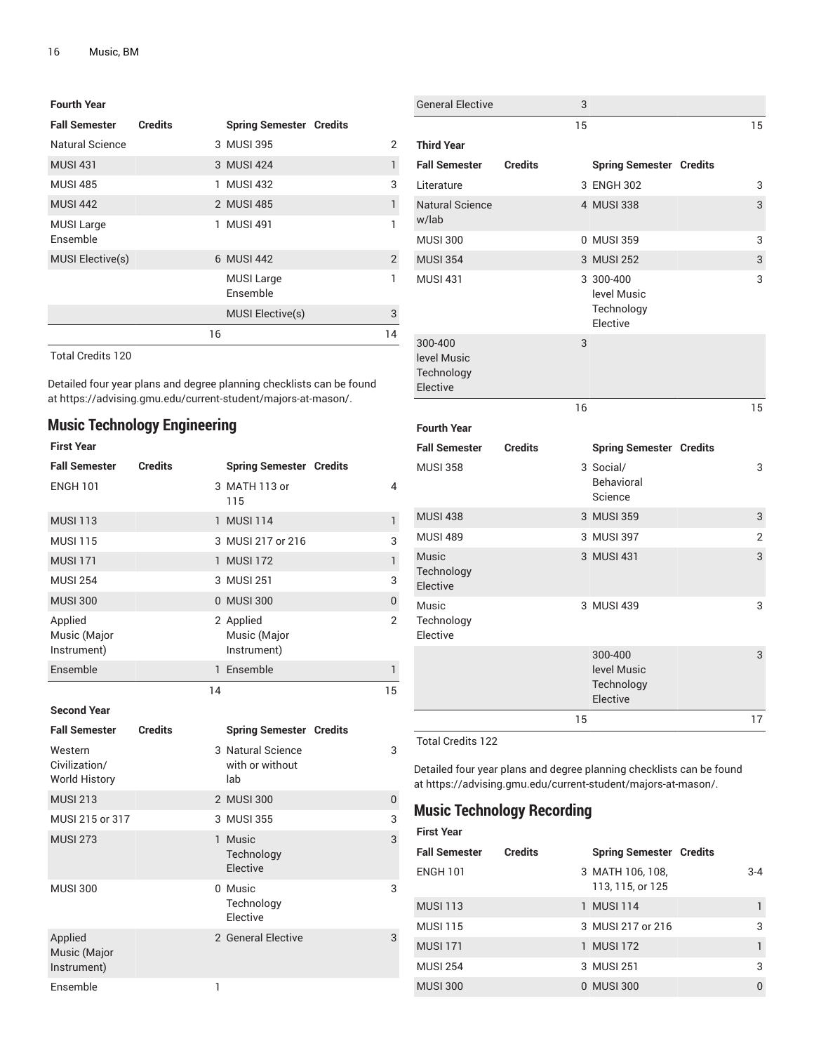| <b>Fourth Year</b>            |                |                                |               |
|-------------------------------|----------------|--------------------------------|---------------|
| <b>Fall Semester</b>          | <b>Credits</b> | <b>Spring Semester Credits</b> |               |
| Natural Science               |                | 3 MUSI 395                     | 2             |
| <b>MUSI 431</b>               |                | 3 MUSI 424                     | 1             |
| <b>MUSI 485</b>               |                | 1 MUSI 432                     | 3             |
| <b>MUSI 442</b>               |                | 2 MUSI 485                     | 1             |
| <b>MUSI Large</b><br>Ensemble |                | 1 MUSI 491                     | 1             |
| <b>MUSI Elective(s)</b>       |                | 6 MUSI 442                     | $\mathcal{P}$ |
|                               |                | <b>MUSI Large</b><br>Ensemble  | 1             |
|                               |                | <b>MUSI Elective(s)</b>        | 3             |
|                               | 16             |                                | 14            |

Detailed four year plans and degree planning checklists can be found at [https://advising.gmu.edu/current-student/majors-at-mason/.](https://advising.gmu.edu/current-student/majors-at-mason/)

# **Music Technology Engineering**

#### **First Year Fall Semester Credits Spring Semester Credits** ENGH 101 3 MATH 113 or 115 4 MUSI 113 1 MUSI 114 1 MUSI 114 1 MUSI 114 1 1 MUSI 115 3 MUSI 217 or 216 MUSI 171 1 MUSI 172 1 MUSI 172 1 MUSI 172 1 1 MUSI 254 3 MUSI 251 3 MUSI 251 MUSI 300 0 MUSI 300 0 Applied Music (Major Instrument) 2 Applied Music (Major Instrument) 2 Ensemble 1 Ensemble 1 Ensemble 1 Ensemble 1 Ensemble 14 15 **Second Year Fall Semester Credits Spring Semester Credits** Western Civilization/ World History 3 Natural Science with or without lab 3 MUSI 213 2 MUSI 300 2 MUSI 300 2 MUSI 300 2 MUSI 213 MUSI 215 or 317 3 MUSI 355 3 3 MUSI 355 MUSI 273 1 Music Technology Elective 3 MUSI 300 0 Music **Technology** Elective 3 Applied Music (Major Instrument) 2 General Elective 3 Ensemble 1

| 15<br>15<br><b>Third Year</b><br><b>Fall Semester</b><br><b>Credits</b><br><b>Spring Semester Credits</b><br>3 ENGH 302<br>Literature<br>3<br><b>Natural Science</b><br>4 MUSI 338<br>3<br>w/lab<br><b>MUSI 300</b><br>0 MUSI 359<br>3<br><b>MUSI 354</b><br>3 MUSI 252<br>3<br><b>MUSI 431</b><br>3 300-400<br>3<br>level Music<br>Technology<br>Elective<br>300-400<br>3<br>level Music<br>Technology<br>Elective<br>16<br>15<br><b>Fourth Year</b><br><b>Credits</b><br><b>Fall Semester</b><br><b>Spring Semester Credits</b><br><b>MUSI 358</b><br>3 Social/<br>3<br><b>Behavioral</b><br>Science<br><b>MUSI 438</b><br>3 MUSI 359<br>3<br><b>MUSI 489</b><br>3 MUSI 397<br>2<br>3 MUSI 431<br>3<br>Music<br>Technology<br>Elective<br>Music<br>3 MUSI 439<br>3<br>Technology<br>Elective<br>300-400<br>3<br>level Music<br>Technology<br>Elective<br>15<br>17 | <b>General Elective</b> | 3 |  |  |
|---------------------------------------------------------------------------------------------------------------------------------------------------------------------------------------------------------------------------------------------------------------------------------------------------------------------------------------------------------------------------------------------------------------------------------------------------------------------------------------------------------------------------------------------------------------------------------------------------------------------------------------------------------------------------------------------------------------------------------------------------------------------------------------------------------------------------------------------------------------------|-------------------------|---|--|--|
|                                                                                                                                                                                                                                                                                                                                                                                                                                                                                                                                                                                                                                                                                                                                                                                                                                                                     |                         |   |  |  |
|                                                                                                                                                                                                                                                                                                                                                                                                                                                                                                                                                                                                                                                                                                                                                                                                                                                                     |                         |   |  |  |
|                                                                                                                                                                                                                                                                                                                                                                                                                                                                                                                                                                                                                                                                                                                                                                                                                                                                     |                         |   |  |  |
|                                                                                                                                                                                                                                                                                                                                                                                                                                                                                                                                                                                                                                                                                                                                                                                                                                                                     |                         |   |  |  |
|                                                                                                                                                                                                                                                                                                                                                                                                                                                                                                                                                                                                                                                                                                                                                                                                                                                                     |                         |   |  |  |
|                                                                                                                                                                                                                                                                                                                                                                                                                                                                                                                                                                                                                                                                                                                                                                                                                                                                     |                         |   |  |  |
|                                                                                                                                                                                                                                                                                                                                                                                                                                                                                                                                                                                                                                                                                                                                                                                                                                                                     |                         |   |  |  |
|                                                                                                                                                                                                                                                                                                                                                                                                                                                                                                                                                                                                                                                                                                                                                                                                                                                                     |                         |   |  |  |
|                                                                                                                                                                                                                                                                                                                                                                                                                                                                                                                                                                                                                                                                                                                                                                                                                                                                     |                         |   |  |  |
|                                                                                                                                                                                                                                                                                                                                                                                                                                                                                                                                                                                                                                                                                                                                                                                                                                                                     |                         |   |  |  |
|                                                                                                                                                                                                                                                                                                                                                                                                                                                                                                                                                                                                                                                                                                                                                                                                                                                                     |                         |   |  |  |
|                                                                                                                                                                                                                                                                                                                                                                                                                                                                                                                                                                                                                                                                                                                                                                                                                                                                     |                         |   |  |  |
|                                                                                                                                                                                                                                                                                                                                                                                                                                                                                                                                                                                                                                                                                                                                                                                                                                                                     |                         |   |  |  |
|                                                                                                                                                                                                                                                                                                                                                                                                                                                                                                                                                                                                                                                                                                                                                                                                                                                                     |                         |   |  |  |
|                                                                                                                                                                                                                                                                                                                                                                                                                                                                                                                                                                                                                                                                                                                                                                                                                                                                     |                         |   |  |  |
|                                                                                                                                                                                                                                                                                                                                                                                                                                                                                                                                                                                                                                                                                                                                                                                                                                                                     |                         |   |  |  |
|                                                                                                                                                                                                                                                                                                                                                                                                                                                                                                                                                                                                                                                                                                                                                                                                                                                                     |                         |   |  |  |
|                                                                                                                                                                                                                                                                                                                                                                                                                                                                                                                                                                                                                                                                                                                                                                                                                                                                     |                         |   |  |  |
|                                                                                                                                                                                                                                                                                                                                                                                                                                                                                                                                                                                                                                                                                                                                                                                                                                                                     |                         |   |  |  |

Total Credits 122

Detailed four year plans and degree planning checklists can be found at <https://advising.gmu.edu/current-student/majors-at-mason/>.

## **Music Technology Recording**

| <b>First Year</b>    |                |                                      |         |
|----------------------|----------------|--------------------------------------|---------|
| <b>Fall Semester</b> | <b>Credits</b> | <b>Spring Semester Credits</b>       |         |
| <b>ENGH 101</b>      |                | 3 MATH 106, 108,<br>113, 115, or 125 | $3 - 4$ |
| <b>MUSI 113</b>      |                | 1 MUSI 114                           |         |
| <b>MUSI 115</b>      |                | 3 MUSI 217 or 216                    | 3       |
| <b>MUSI 171</b>      |                | 1 MUSI 172                           |         |
| <b>MUSI 254</b>      |                | 3 MUSI 251                           | 3       |
| <b>MUSI 300</b>      |                | 0 MUSI 300                           |         |
|                      |                |                                      |         |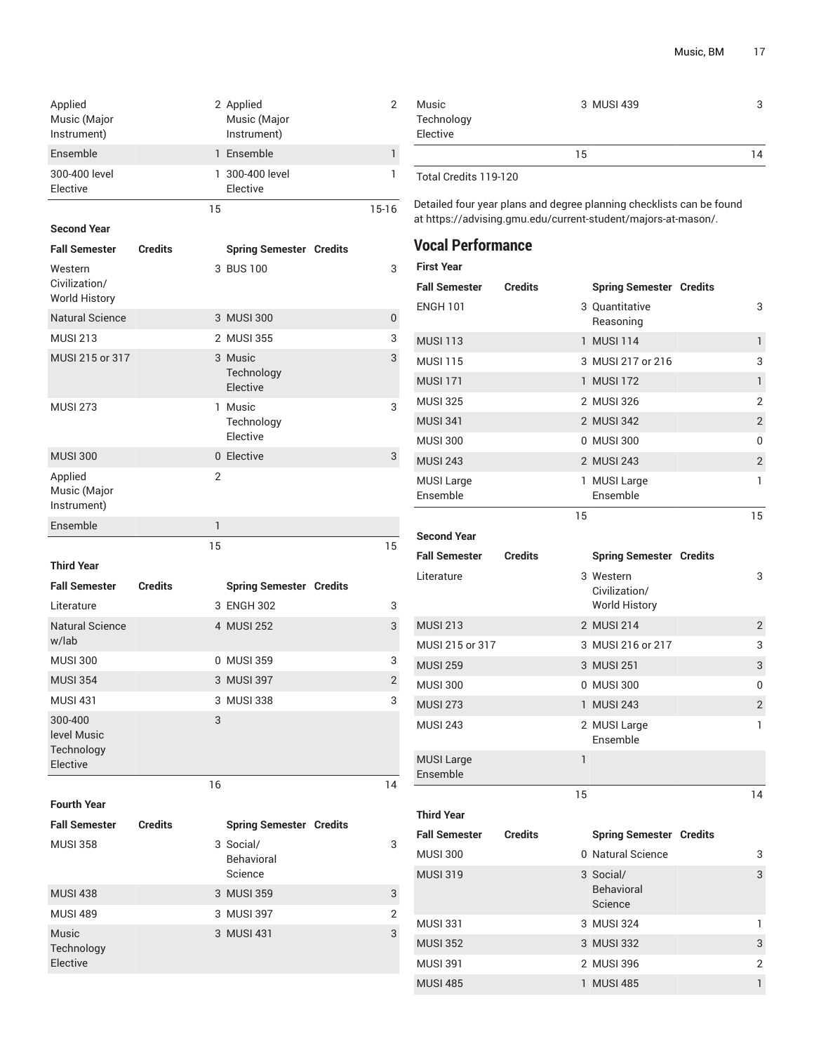| Applied<br>Music (Major<br>Instrument) | 2 Applied<br>Music (Major<br>Instrument) |       |
|----------------------------------------|------------------------------------------|-------|
| Ensemble                               | 1 Ensemble                               |       |
| 300-400 level<br>Elective              | 1 300-400 level<br>Elective              |       |
|                                        | 15                                       | 15-16 |

**Second Year**

| <b>Fall Semester</b>                             | <b>Credits</b> | <b>Spring Semester Credits</b>    |                |
|--------------------------------------------------|----------------|-----------------------------------|----------------|
| Western<br>Civilization/<br><b>World History</b> |                | 3 BUS 100                         | 3              |
| <b>Natural Science</b>                           |                | 3 MUSI 300                        | 0              |
| <b>MUSI 213</b>                                  |                | 2 MUSI 355                        | 3              |
| MUSI 215 or 317                                  |                | 3 Music<br>Technology<br>Elective | 3              |
| <b>MUSI 273</b>                                  |                | 1 Music<br>Technology<br>Elective | 3              |
| <b>MUSI 300</b>                                  |                | 0 Elective                        | 3              |
| Applied<br>Music (Major<br>Instrument)           | $\overline{2}$ |                                   |                |
| Ensemble                                         | 1              |                                   |                |
|                                                  |                |                                   |                |
|                                                  | 15             |                                   | 15             |
| <b>Third Year</b>                                |                |                                   |                |
| <b>Fall Semester</b>                             | <b>Credits</b> | <b>Spring Semester Credits</b>    |                |
| Literature                                       |                | 3 ENGH 302                        | 3              |
| <b>Natural Science</b><br>w/lab                  |                | 4 MUSI 252                        | 3              |
| <b>MUSI 300</b>                                  |                | 0 MUSI 359                        | 3              |
| <b>MUSI 354</b>                                  |                | 3 MUSI 397                        | $\overline{2}$ |
| <b>MUSI 431</b>                                  |                | 3 MUSI 338                        | 3              |
| 300-400<br>level Music<br>Technology<br>Elective | 3              |                                   |                |
|                                                  | 16             |                                   | 14             |
| <b>Fourth Year</b>                               |                |                                   |                |

| <b>MUSI 358</b>                        | 3 Social/<br><b>Behavioral</b><br>Science | 3 |
|----------------------------------------|-------------------------------------------|---|
| <b>MUSI 438</b>                        | 3 MUSI 359                                | 3 |
| <b>MUSI 489</b>                        | 3 MUSI 397                                | 2 |
| <b>Music</b><br>Technology<br>Elective | 3 MUSI 431                                | 3 |

| Music                      | 3 MUSI 439 | 3  |
|----------------------------|------------|----|
| Technology                 |            |    |
| Elective                   |            |    |
|                            | 15         | 14 |
| $T \cdot 10$ $T_1$ $13030$ |            |    |

Total Credits 119-120

Detailed four year plans and degree planning checklists can be found at <https://advising.gmu.edu/current-student/majors-at-mason/>.

# **Vocal Performance**

| First Year                    |                |                                                    |                |
|-------------------------------|----------------|----------------------------------------------------|----------------|
| <b>Fall Semester</b>          | <b>Credits</b> | <b>Spring Semester Credits</b>                     |                |
| <b>ENGH 101</b>               |                | 3 Quantitative<br>Reasoning                        | 3              |
| <b>MUSI 113</b>               |                | 1 MUSI 114                                         | $\mathbf{1}$   |
| <b>MUSI 115</b>               |                | 3 MUSI 217 or 216                                  | 3              |
| <b>MUSI 171</b>               |                | 1 MUSI 172                                         | $\mathbf{1}$   |
| <b>MUSI 325</b>               |                | 2 MUSI 326                                         | $\overline{2}$ |
| <b>MUSI 341</b>               |                | 2 MUSI 342                                         | $\overline{2}$ |
| <b>MUSI 300</b>               |                | 0 MUSI 300                                         | $\mathbf{0}$   |
| <b>MUSI 243</b>               |                | 2 MUSI 243                                         | $\overline{2}$ |
| <b>MUSI Large</b><br>Ensemble |                | 1 MUSI Large<br>Ensemble                           | 1              |
|                               | 15             |                                                    | 15             |
| <b>Second Year</b>            |                |                                                    |                |
| <b>Fall Semester</b>          | <b>Credits</b> | <b>Spring Semester Credits</b>                     |                |
| Literature                    |                | 3 Western<br>Civilization/<br><b>World History</b> | 3              |
|                               |                |                                                    |                |

MUSI 215 or 317 3 MUSI 216 or 217 3 MUSI 259 3 MUSI 251 3 MUSI 251 3 MUSI 251 3 3 MUSI 251 3 3 MUSI 251 3 3  $\sim$ MUSI 300 0 MUSI 300 0 MUSI 273 1 MUSI 243 2 MUSI 243 2 MUSI Large Ensemble 1 MUSI Large Ensemble 1 15 14 **Third Year Fall Semester Credits Spring Semester Credits** MUSI 300 0 Natural Science 3 MUSI 319 3 Social/ Behavioral 3

MUSI 213 2 MUSI 214 2 MUSI 214 2 MUSI 214 2 MUSI 214 2 2 MUSI 214 2 2 MUSI 214 2 2  $\sim$ 

|                 | <b>Behavioral</b><br>Science |   |
|-----------------|------------------------------|---|
| <b>MUSI 331</b> | 3 MUSI 324                   |   |
| <b>MUSI 352</b> | 3 MUSI 332                   | 3 |
| MUSI 391        | 2 MUSI 396                   |   |
| <b>MUSI 485</b> | 1 MUSI 485                   |   |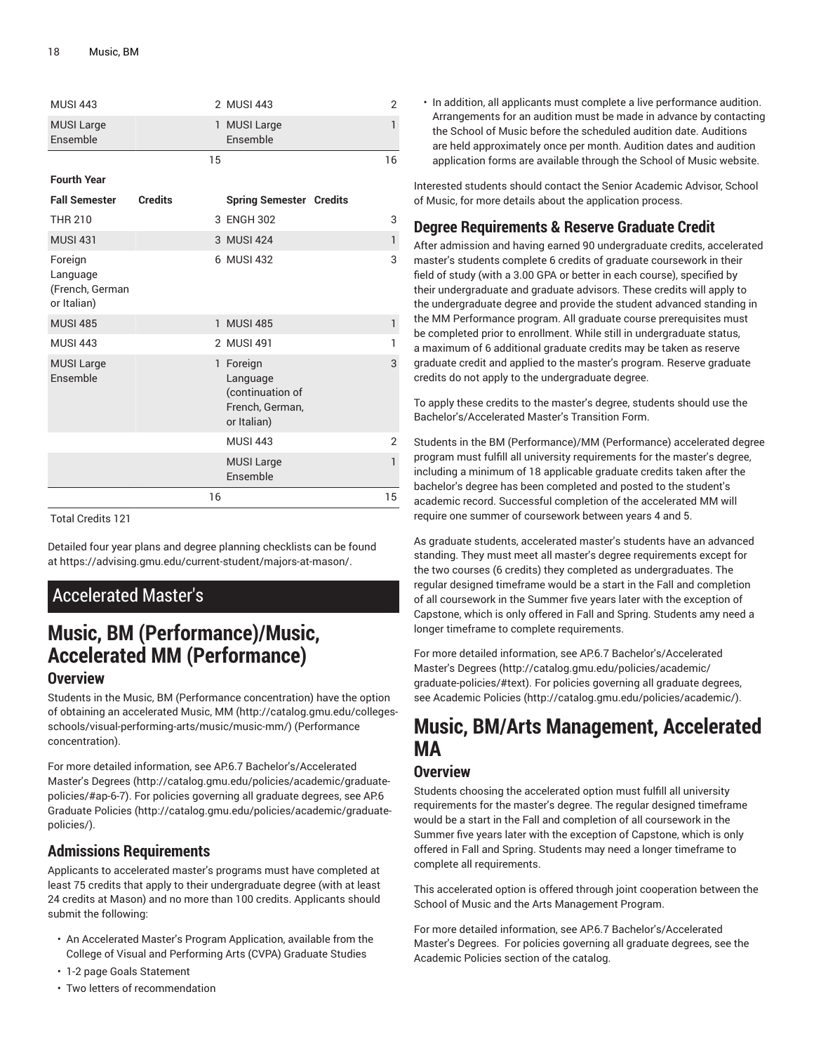| <b>MUSI 443</b>                                       |                |    | 2 MUSI 443                                                                  | $\overline{2}$ |
|-------------------------------------------------------|----------------|----|-----------------------------------------------------------------------------|----------------|
| <b>MUSI Large</b><br>Ensemble                         |                | 1  | <b>MUSI Large</b><br>Ensemble                                               | 1              |
|                                                       |                | 15 |                                                                             | 16             |
| <b>Fourth Year</b>                                    |                |    |                                                                             |                |
| <b>Fall Semester</b>                                  | <b>Credits</b> |    | <b>Spring Semester Credits</b>                                              |                |
| <b>THR 210</b>                                        |                |    | 3 ENGH 302                                                                  | 3              |
| <b>MUSI 431</b>                                       |                |    | 3 MUSI 424                                                                  | 1              |
| Foreign<br>Language<br>(French, German<br>or Italian) |                |    | 6 MUSI 432                                                                  | 3              |
| <b>MUSI 485</b>                                       |                |    | 1 MUSI 485                                                                  | 1              |
| <b>MUSI 443</b>                                       |                |    | 2 MUSI 491                                                                  | 1              |
| <b>MUSI Large</b><br>Ensemble                         |                |    | 1 Foreign<br>Language<br>(continuation of<br>French, German,<br>or Italian) | 3              |
|                                                       |                |    | <b>MUSI 443</b>                                                             | $\overline{2}$ |
|                                                       |                |    | <b>MUSI Large</b><br>Ensemble                                               | 1              |
|                                                       |                | 16 |                                                                             | 15             |

Detailed four year plans and degree planning checklists can be found at [https://advising.gmu.edu/current-student/majors-at-mason/.](https://advising.gmu.edu/current-student/majors-at-mason/)

# Accelerated Master's

# **Music, BM (Performance)/Music, Accelerated MM (Performance)**

# **Overview**

Students in the [Music, BM](#page-0-0) (Performance concentration) have the option of obtaining an accelerated [Music, MM \(http://catalog.gmu.edu/colleges](http://catalog.gmu.edu/colleges-schools/visual-performing-arts/music/music-mm/)[schools/visual-performing-arts/music/music-mm/\)](http://catalog.gmu.edu/colleges-schools/visual-performing-arts/music/music-mm/) (Performance concentration).

For more detailed information, see AP.6.7 [Bachelor's/Accelerated](http://catalog.gmu.edu/policies/academic/graduate-policies/#ap-6-7) [Master's](http://catalog.gmu.edu/policies/academic/graduate-policies/#ap-6-7) Degrees ([http://catalog.gmu.edu/policies/academic/graduate](http://catalog.gmu.edu/policies/academic/graduate-policies/#ap-6-7)[policies/#ap-6-7](http://catalog.gmu.edu/policies/academic/graduate-policies/#ap-6-7)). For policies governing all graduate degrees, see [AP.6](http://catalog.gmu.edu/policies/academic/graduate-policies/) [Graduate](http://catalog.gmu.edu/policies/academic/graduate-policies/) Policies ([http://catalog.gmu.edu/policies/academic/graduate](http://catalog.gmu.edu/policies/academic/graduate-policies/)[policies/](http://catalog.gmu.edu/policies/academic/graduate-policies/)).

# **Admissions Requirements**

Applicants to accelerated master's programs must have completed at least 75 credits that apply to their undergraduate degree (with at least 24 credits at Mason) and no more than 100 credits. Applicants should submit the following:

- An Accelerated Master's Program Application, available from the College of Visual and Performing Arts (CVPA) Graduate Studies
- 1-2 page Goals Statement
- Two letters of recommendation

• In addition, all applicants must complete a live performance audition. Arrangements for an audition must be made in advance by contacting the School of Music before the scheduled audition date. Auditions are held approximately once per month. Audition dates and audition application forms are available through the School of Music website.

Interested students should contact the Senior Academic Advisor, School of Music, for more details about the application process.

# **Degree Requirements & Reserve Graduate Credit**

After admission and having earned 90 undergraduate credits, accelerated master's students complete 6 credits of graduate coursework in their field of study (with a 3.00 GPA or better in each course), specified by their undergraduate and graduate advisors. These credits will apply to the undergraduate degree and provide the student advanced standing in the MM Performance program. All graduate course prerequisites must be completed prior to enrollment. While still in undergraduate status, a maximum of 6 additional graduate credits may be taken as reserve graduate credit and applied to the master's program. Reserve graduate credits do not apply to the undergraduate degree.

To apply these credits to the master's degree, students should use the Bachelor's/Accelerated Master's Transition Form.

Students in the BM (Performance)/MM (Performance) accelerated degree program must fulfill all university requirements for the master's degree, including a minimum of 18 applicable graduate credits taken after the bachelor's degree has been completed and posted to the student's academic record. Successful completion of the accelerated MM will require one summer of coursework between years 4 and 5.

As graduate students, accelerated master's students have an advanced standing. They must meet all master's degree requirements except for the two courses (6 credits) they completed as undergraduates. The regular designed timeframe would be a start in the Fall and completion of all coursework in the Summer five years later with the exception of Capstone, which is only offered in Fall and Spring. Students amy need a longer timeframe to complete requirements.

For more detailed information, see AP.6.7 [Bachelor's/Accelerated](http://catalog.gmu.edu/policies/academic/graduate-policies/#text) [Master's](http://catalog.gmu.edu/policies/academic/graduate-policies/#text) Degrees [\(http://catalog.gmu.edu/policies/academic/](http://catalog.gmu.edu/policies/academic/graduate-policies/#text) [graduate-policies/#text\)](http://catalog.gmu.edu/policies/academic/graduate-policies/#text). For policies governing all graduate degrees, see [Academic](http://catalog.gmu.edu/policies/academic/) Policies (<http://catalog.gmu.edu/policies/academic/>).

# **Music, BM/Arts Management, Accelerated MA**

### **Overview**

Students choosing the accelerated option must fulfill all university requirements for the master's degree. The regular designed timeframe would be a start in the Fall and completion of all coursework in the Summer five years later with the exception of Capstone, which is only offered in Fall and Spring. Students may need a longer timeframe to complete all requirements.

This accelerated option is offered through joint cooperation between the School of Music and the Arts Management Program.

For more detailed information, see AP.6.7 Bachelor's/Accelerated Master's Degrees. For policies governing all graduate degrees, see the Academic Policies section of the catalog.